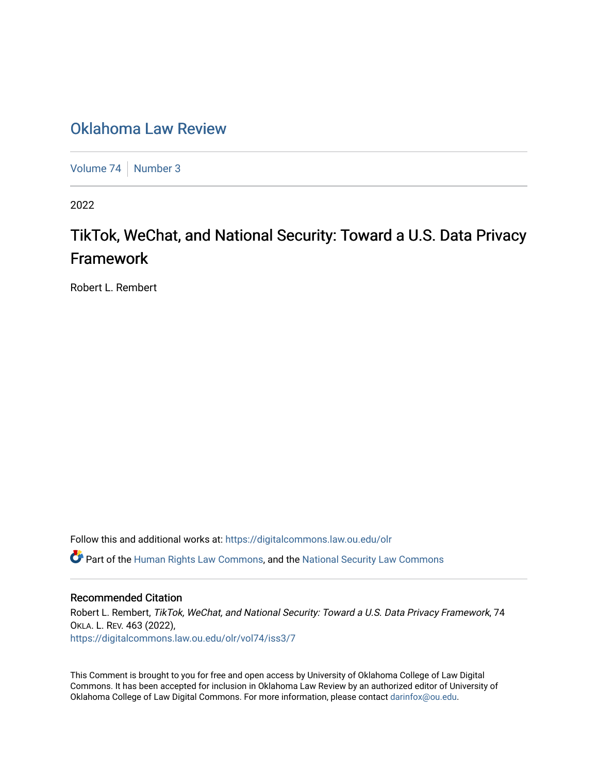## [Oklahoma Law Review](https://digitalcommons.law.ou.edu/olr)

[Volume 74](https://digitalcommons.law.ou.edu/olr/vol74) [Number 3](https://digitalcommons.law.ou.edu/olr/vol74/iss3)

2022

# TikTok, WeChat, and National Security: Toward a U.S. Data Privacy Framework

Robert L. Rembert

Follow this and additional works at: [https://digitalcommons.law.ou.edu/olr](https://digitalcommons.law.ou.edu/olr?utm_source=digitalcommons.law.ou.edu%2Folr%2Fvol74%2Fiss3%2F7&utm_medium=PDF&utm_campaign=PDFCoverPages) **C** Part of the [Human Rights Law Commons,](https://network.bepress.com/hgg/discipline/847?utm_source=digitalcommons.law.ou.edu%2Folr%2Fvol74%2Fiss3%2F7&utm_medium=PDF&utm_campaign=PDFCoverPages) and the National Security Law Commons

## Recommended Citation

Robert L. Rembert, TikTok, WeChat, and National Security: Toward a U.S. Data Privacy Framework, 74 OKLA. L. REV. 463 (2022), [https://digitalcommons.law.ou.edu/olr/vol74/iss3/7](https://digitalcommons.law.ou.edu/olr/vol74/iss3/7?utm_source=digitalcommons.law.ou.edu%2Folr%2Fvol74%2Fiss3%2F7&utm_medium=PDF&utm_campaign=PDFCoverPages) 

This Comment is brought to you for free and open access by University of Oklahoma College of Law Digital Commons. It has been accepted for inclusion in Oklahoma Law Review by an authorized editor of University of Oklahoma College of Law Digital Commons. For more information, please contact [darinfox@ou.edu.](mailto:darinfox@ou.edu)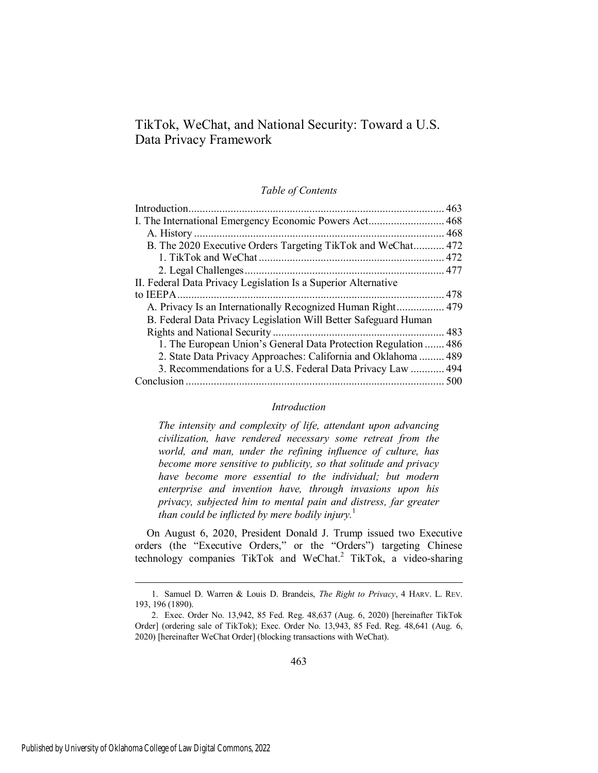TikTok, WeChat, and National Security: Toward a U.S. Data Privacy Framework

#### *Table of Contents*

| B. The 2020 Executive Orders Targeting TikTok and WeChat 472    |  |
|-----------------------------------------------------------------|--|
|                                                                 |  |
|                                                                 |  |
| II. Federal Data Privacy Legislation Is a Superior Alternative  |  |
|                                                                 |  |
|                                                                 |  |
| B. Federal Data Privacy Legislation Will Better Safeguard Human |  |
|                                                                 |  |
| 1. The European Union's General Data Protection Regulation  486 |  |
| 2. State Data Privacy Approaches: California and Oklahoma  489  |  |
| 3. Recommendations for a U.S. Federal Data Privacy Law  494     |  |
| Conclusion                                                      |  |
|                                                                 |  |

## *Introduction*

<span id="page-1-0"></span>*The intensity and complexity of life, attendant upon advancing civilization, have rendered necessary some retreat from the world, and man, under the refining influence of culture, has become more sensitive to publicity, so that solitude and privacy have become more essential to the individual; but modern enterprise and invention have, through invasions upon his privacy, subjected him to mental pain and distress, far greater than could be inflicted by mere bodily injury.*<sup>1</sup>

On August 6, 2020, President Donald J. Trump issued two Executive orders (the "Executive Orders," or the "Orders") targeting Chinese technology companies TikTok and WeChat.<sup>2</sup> TikTok, a video-sharing

<sup>1.</sup> Samuel D. Warren & Louis D. Brandeis, *The Right to Privacy*, 4 HARV. L. REV. 193, 196 (1890).

<sup>2.</sup> Exec. Order No. 13,942, 85 Fed. Reg. 48,637 (Aug. 6, 2020) [hereinafter TikTok Order] (ordering sale of TikTok); Exec. Order No. 13,943, 85 Fed. Reg. 48,641 (Aug. 6, 2020) [hereinafter WeChat Order] (blocking transactions with WeChat).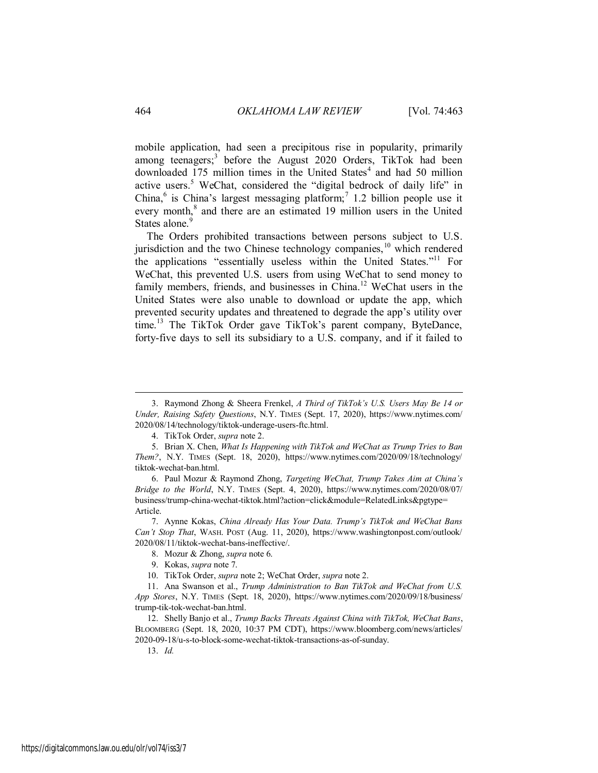mobile application, had seen a precipitous rise in popularity, primarily among teenagers;<sup>3</sup> before the August 2020 Orders, TikTok had been downloaded 175 million times in the United States<sup>4</sup> and had 50 million active users.<sup>5</sup> WeChat, considered the "digital bedrock of daily life" in China,<sup>6</sup> is China's largest messaging platform;<sup>7</sup> 1.2 billion people use it every month,<sup>8</sup> and there are an estimated 19 million users in the United States alone.<sup>9</sup>

The Orders prohibited transactions between persons subject to U.S. jurisdiction and the two Chinese technology companies, $10$  which rendered the applications "essentially useless within the United States."<sup>11</sup> For WeChat, this prevented U.S. users from using WeChat to send money to family members, friends, and businesses in China.<sup>12</sup> WeChat users in the United States were also unable to download or update the app, which prevented security updates and threatened to degrade the app's utility over time.<sup>13</sup> The TikTok Order gave TikTok's parent company, ByteDance, forty-five days to sell its subsidiary to a U.S. company, and if it failed to

13. *Id.*

<sup>3.</sup> Raymond Zhong & Sheera Frenkel, *A Third of TikTok's U.S. Users May Be 14 or Under, Raising Safety Questions*, N.Y. TIMES (Sept. 17, 2020), https://www.nytimes.com/ 2020/08/14/technology/tiktok-underage-users-ftc.html.

<sup>4.</sup> TikTok Order, *supra* note 2.

<sup>5.</sup> Brian X. Chen, *What Is Happening with TikTok and WeChat as Trump Tries to Ban Them?*, N.Y. TIMES (Sept. 18, 2020), https://www.nytimes.com/2020/09/18/technology/ tiktok-wechat-ban.html.

<sup>6.</sup> Paul Mozur & Raymond Zhong, *Targeting WeChat, Trump Takes Aim at China's Bridge to the World*, N.Y. TIMES (Sept. 4, 2020), https://www.nytimes.com/2020/08/07/ business/trump-china-wechat-tiktok.html?action=click&module=RelatedLinks&pgtype= Article.

<sup>7.</sup> Aynne Kokas, *China Already Has Your Data. Trump's TikTok and WeChat Bans Can't Stop That*, WASH. POST (Aug. 11, 2020), https://www.washingtonpost.com/outlook/ 2020/08/11/tiktok-wechat-bans-ineffective/.

<sup>8.</sup> Mozur & Zhong, *supra* note 6.

<span id="page-2-0"></span><sup>9.</sup> Kokas, *supra* note 7.

<sup>10.</sup> TikTok Order, *supra* note 2; WeChat Order, *supra* note 2.

<sup>11.</sup> Ana Swanson et al., *Trump Administration to Ban TikTok and WeChat from U.S. App Stores*, N.Y. TIMES (Sept. 18, 2020), https://www.nytimes.com/2020/09/18/business/ trump-tik-tok-wechat-ban.html.

<sup>12.</sup> Shelly Banjo et al., *Trump Backs Threats Against China with TikTok, WeChat Bans*, BLOOMBERG (Sept. 18, 2020, 10:37 PM CDT), https://www.bloomberg.com/news/articles/ 2020-09-18/u-s-to-block-some-wechat-tiktok-transactions-as-of-sunday.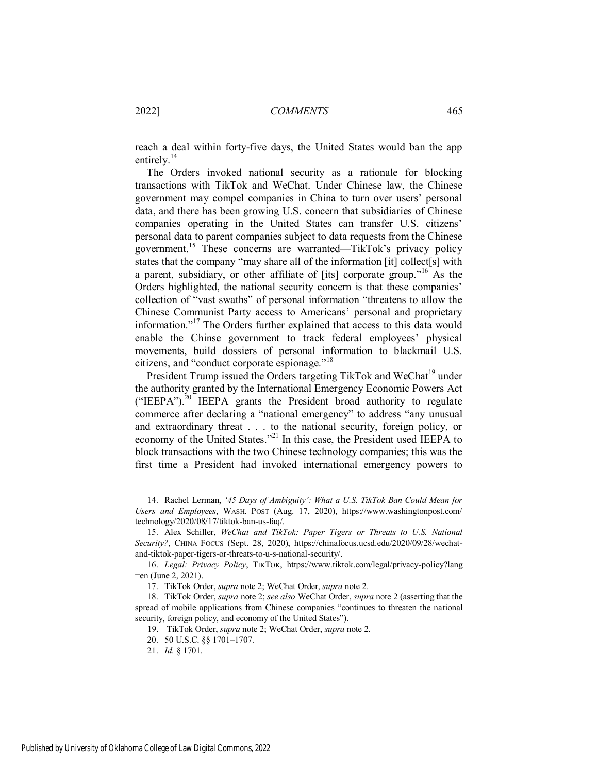reach a deal within forty-five days, the United States would ban the app entirely. $^{14}$ 

The Orders invoked national security as a rationale for blocking transactions with TikTok and WeChat. Under Chinese law, the Chinese government may compel companies in China to turn over users' personal data, and there has been growing U.S. concern that subsidiaries of Chinese companies operating in the United States can transfer U.S. citizens' personal data to parent companies subject to data requests from the Chinese government.<sup>15</sup> These concerns are warranted—TikTok's privacy policy states that the company "may share all of the information [it] collect[s] with a parent, subsidiary, or other affiliate of [its] corporate group."<sup>16</sup> As the Orders highlighted, the national security concern is that these companies' collection of "vast swaths" of personal information "threatens to allow the Chinese Communist Party access to Americans' personal and proprietary information."<sup>17</sup> The Orders further explained that access to this data would enable the Chinse government to track federal employees' physical movements, build dossiers of personal information to blackmail U.S. citizens, and "conduct corporate espionage."<sup>18</sup>

President Trump issued the Orders targeting TikTok and WeChat<sup>19</sup> under the authority granted by the International Emergency Economic Powers Act ("IEEPA"). $^{20}$  IEEPA grants the President broad authority to regulate commerce after declaring a "national emergency" to address "any unusual and extraordinary threat . . . to the national security, foreign policy, or economy of the United States."<sup>21</sup> In this case, the President used IEEPA to block transactions with the two Chinese technology companies; this was the first time a President had invoked international emergency powers to

<sup>14.</sup> Rachel Lerman, *'45 Days of Ambiguity': What a U.S. TikTok Ban Could Mean for Users and Employees*, WASH. POST (Aug. 17, 2020), https://www.washingtonpost.com/ technology/2020/08/17/tiktok-ban-us-faq/.

<sup>15.</sup> Alex Schiller, *WeChat and TikTok: Paper Tigers or Threats to U.S. National Security?*, CHINA FOCUS (Sept. 28, 2020), https://chinafocus.ucsd.edu/2020/09/28/wechatand-tiktok-paper-tigers-or-threats-to-u-s-national-security/.

<sup>16.</sup> *Legal: Privacy Policy*, TIKTOK, https://www.tiktok.com/legal/privacy-policy?lang =en (June 2, 2021).

<sup>17.</sup> TikTok Order, *supra* note 2; WeChat Order, *supra* note 2.

<sup>18.</sup> TikTok Order, *supra* note 2; *see also* WeChat Order, *supra* note 2 (asserting that the spread of mobile applications from Chinese companies "continues to threaten the national security, foreign policy, and economy of the United States").

<sup>19.</sup> TikTok Order, *supra* note 2; WeChat Order, *supra* note 2.

<sup>20. 50</sup> U.S.C. §§ 1701–1707.

<sup>21.</sup> *Id.* § 1701.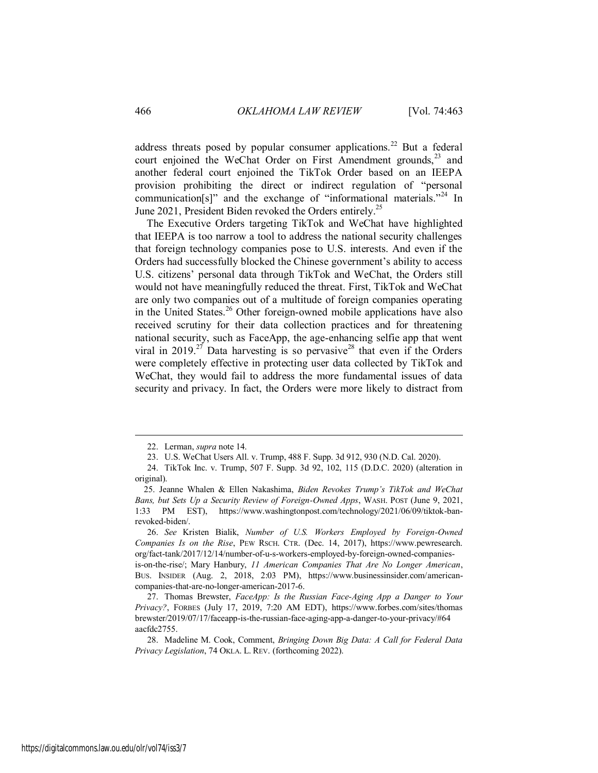address threats posed by popular consumer applications.<sup>22</sup> But a federal court enjoined the WeChat Order on First Amendment grounds,<sup>23</sup> and another federal court enjoined the TikTok Order based on an IEEPA provision prohibiting the direct or indirect regulation of "personal communication[s]" and the exchange of "informational materials."<sup>24</sup> In June 2021, President Biden revoked the Orders entirely.<sup>25</sup>

The Executive Orders targeting TikTok and WeChat have highlighted that IEEPA is too narrow a tool to address the national security challenges that foreign technology companies pose to U.S. interests. And even if the Orders had successfully blocked the Chinese government's ability to access U.S. citizens' personal data through TikTok and WeChat, the Orders still would not have meaningfully reduced the threat. First, TikTok and WeChat are only two companies out of a multitude of foreign companies operating in the United States.<sup>26</sup> Other foreign-owned mobile applications have also received scrutiny for their data collection practices and for threatening national security, such as FaceApp, the age-enhancing selfie app that went viral in 2019.<sup>27</sup> Data harvesting is so pervasive<sup>28</sup> that even if the Orders were completely effective in protecting user data collected by TikTok and WeChat, they would fail to address the more fundamental issues of data security and privacy. In fact, the Orders were more likely to distract from

<sup>22.</sup> Lerman, *supra* note 14.

<sup>23.</sup> U.S. WeChat Users All. v. Trump, 488 F. Supp. 3d 912, 930 (N.D. Cal. 2020).

<sup>24.</sup> TikTok Inc. v. Trump, 507 F. Supp. 3d 92, 102, 115 (D.D.C. 2020) (alteration in original).

<sup>25.</sup> Jeanne Whalen & Ellen Nakashima, *Biden Revokes Trump's TikTok and WeChat Bans, but Sets Up a Security Review of Foreign-Owned Apps*, WASH. POST (June 9, 2021, 1:33 PM EST), https://www.washingtonpost.com/technology/2021/06/09/tiktok-banrevoked-biden/.

<sup>26.</sup> *See* Kristen Bialik, *Number of U.S. Workers Employed by Foreign-Owned Companies Is on the Rise*, PEW RSCH. CTR. (Dec. 14, 2017), https://www.pewresearch. org/fact-tank/2017/12/14/number-of-u-s-workers-employed-by-foreign-owned-companiesis-on-the-rise/; Mary Hanbury, *11 American Companies That Are No Longer American*, BUS. INSIDER (Aug. 2, 2018, 2:03 PM), https://www.businessinsider.com/americancompanies-that-are-no-longer-american-2017-6.

<sup>27.</sup> Thomas Brewster, *FaceApp: Is the Russian Face-Aging App a Danger to Your Privacy?*, FORBES (July 17, 2019, 7:20 AM EDT), https://www.forbes.com/sites/thomas brewster/2019/07/17/faceapp-is-the-russian-face-aging-app-a-danger-to-your-privacy/#64 aacfdc2755.

<sup>28.</sup> Madeline M. Cook, Comment, *Bringing Down Big Data: A Call for Federal Data Privacy Legislation*, 74 OKLA. L. REV. (forthcoming 2022).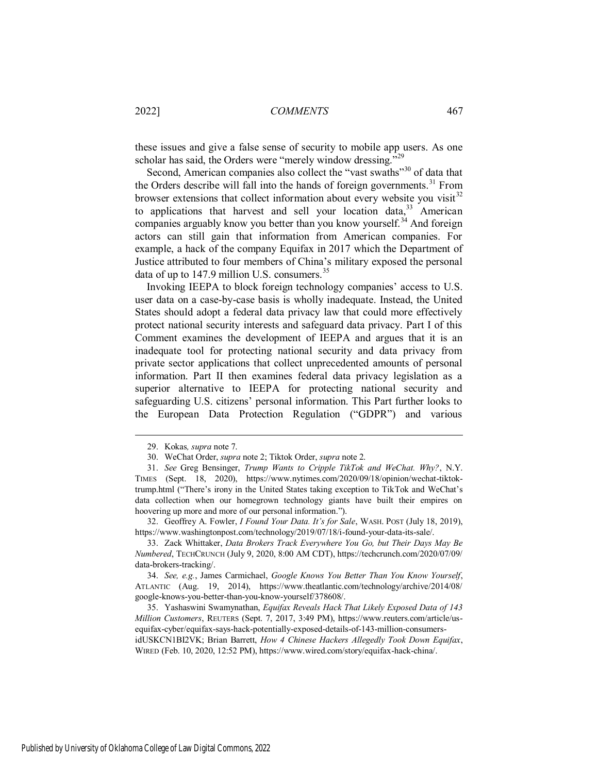these issues and give a false sense of security to mobile app users. As one scholar has said, the Orders were "merely window dressing."<sup>29</sup>

Second, American companies also collect the "vast swaths"<sup>30</sup> of data that the Orders describe will fall into the hands of foreign governments.<sup>31</sup> From browser extensions that collect information about every website you visit  $32$ to applications that harvest and sell your location data,  $33$  American companies arguably know you better than you know yourself.<sup>34</sup> And foreign actors can still gain that information from American companies. For example, a hack of the company Equifax in 2017 which the Department of Justice attributed to four members of China's military exposed the personal data of up to  $147.9$  million U.S. consumers.<sup>35</sup>

Invoking IEEPA to block foreign technology companies' access to U.S. user data on a case-by-case basis is wholly inadequate. Instead, the United States should adopt a federal data privacy law that could more effectively protect national security interests and safeguard data privacy. Part I of this Comment examines the development of IEEPA and argues that it is an inadequate tool for protecting national security and data privacy from private sector applications that collect unprecedented amounts of personal information. Part II then examines federal data privacy legislation as a superior alternative to IEEPA for protecting national security and safeguarding U.S. citizens' personal information. This Part further looks to the European Data Protection Regulation ("GDPR") and various

 $\overline{a}$ 

32. Geoffrey A. Fowler, *I Found Your Data. It's for Sale*, WASH. POST (July 18, 2019), https://www.washingtonpost.com/technology/2019/07/18/i-found-your-data-its-sale/.

33. Zack Whittaker, *Data Brokers Track Everywhere You Go, but Their Days May Be Numbered*, TECHCRUNCH (July 9, 2020, 8:00 AM CDT), https://techcrunch.com/2020/07/09/ data-brokers-tracking/.

34. *See, e.g.*, James Carmichael, *Google Knows You Better Than You Know Yourself*, ATLANTIC (Aug. 19, 2014), https://www.theatlantic.com/technology/archive/2014/08/ google-knows-you-better-than-you-know-yourself/378608/.

35. Yashaswini Swamynathan, *Equifax Reveals Hack That Likely Exposed Data of 143 Million Customers*, REUTERS (Sept. 7, 2017, 3:49 PM), https://www.reuters.com/article/usequifax-cyber/equifax-says-hack-potentially-exposed-details-of-143-million-consumersidUSKCN1BI2VK; Brian Barrett, *How 4 Chinese Hackers Allegedly Took Down Equifax*, WIRED (Feb. 10, 2020, 12:52 PM), https://www.wired.com/story/equifax-hack-china/.

<sup>29.</sup> Kokas*, supra* note 7.

<sup>30.</sup> WeChat Order, *supra* note 2; Tiktok Order, *supra* note 2.

<sup>31.</sup> *See* Greg Bensinger, *Trump Wants to Cripple TikTok and WeChat. Why?*, N.Y. TIMES (Sept. 18, 2020), https://www.nytimes.com/2020/09/18/opinion/wechat-tiktoktrump.html ("There's irony in the United States taking exception to TikTok and WeChat's data collection when our homegrown technology giants have built their empires on hoovering up more and more of our personal information.").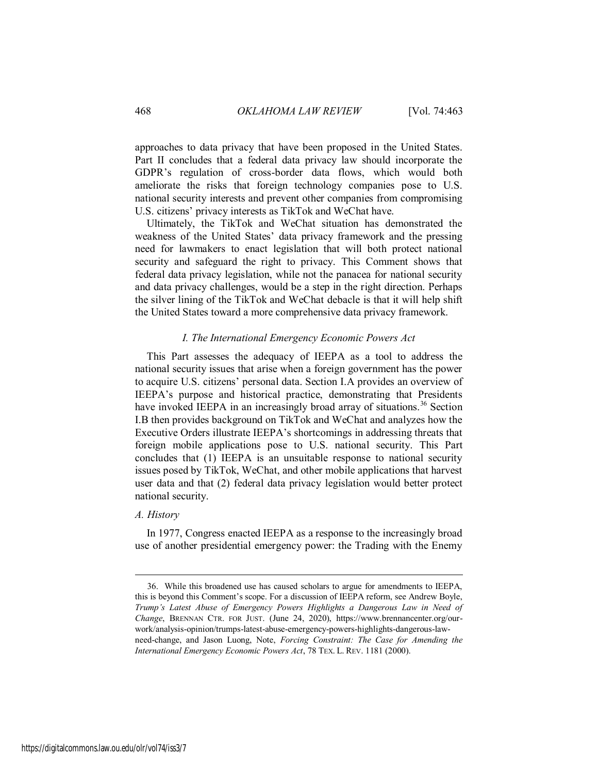approaches to data privacy that have been proposed in the United States. Part II concludes that a federal data privacy law should incorporate the GDPR's regulation of cross-border data flows, which would both ameliorate the risks that foreign technology companies pose to U.S. national security interests and prevent other companies from compromising U.S. citizens' privacy interests as TikTok and WeChat have.

Ultimately, the TikTok and WeChat situation has demonstrated the weakness of the United States' data privacy framework and the pressing need for lawmakers to enact legislation that will both protect national security and safeguard the right to privacy. This Comment shows that federal data privacy legislation, while not the panacea for national security and data privacy challenges, would be a step in the right direction. Perhaps the silver lining of the TikTok and WeChat debacle is that it will help shift the United States toward a more comprehensive data privacy framework.

### *I. The International Emergency Economic Powers Act*

<span id="page-6-0"></span>This Part assesses the adequacy of IEEPA as a tool to address the national security issues that arise when a foreign government has the power to acquire U.S. citizens' personal data. Section I.A provides an overview of IEEPA's purpose and historical practice, demonstrating that Presidents have invoked IEEPA in an increasingly broad array of situations.<sup>36</sup> Section I.B then provides background on TikTok and WeChat and analyzes how the Executive Orders illustrate IEEPA's shortcomings in addressing threats that foreign mobile applications pose to U.S. national security. This Part concludes that (1) IEEPA is an unsuitable response to national security issues posed by TikTok, WeChat, and other mobile applications that harvest user data and that (2) federal data privacy legislation would better protect national security.

#### <span id="page-6-1"></span>*A. History*

 $\overline{a}$ 

In 1977, Congress enacted IEEPA as a response to the increasingly broad use of another presidential emergency power: the Trading with the Enemy

<sup>36.</sup> While this broadened use has caused scholars to argue for amendments to IEEPA, this is beyond this Comment's scope. For a discussion of IEEPA reform, see Andrew Boyle, *Trump's Latest Abuse of Emergency Powers Highlights a Dangerous Law in Need of Change*, BRENNAN CTR. FOR JUST. (June 24, 2020), https://www.brennancenter.org/ourwork/analysis-opinion/trumps-latest-abuse-emergency-powers-highlights-dangerous-lawneed-change, and Jason Luong, Note, *Forcing Constraint: The Case for Amending the International Emergency Economic Powers Act*, 78 TEX. L. REV. 1181 (2000).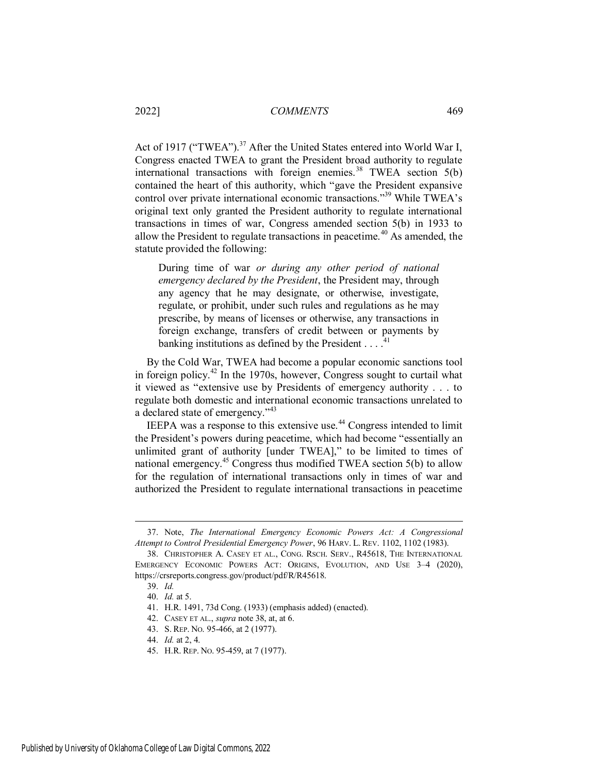Act of 1917 ("TWEA").<sup>37</sup> After the United States entered into World War I, Congress enacted TWEA to grant the President broad authority to regulate international transactions with foreign enemies.<sup>38</sup> TWEA section  $5(b)$ contained the heart of this authority, which "gave the President expansive control over private international economic transactions."<sup>39</sup> While TWEA's original text only granted the President authority to regulate international transactions in times of war, Congress amended section 5(b) in 1933 to allow the President to regulate transactions in peacetime.<sup> $40$ </sup> As amended, the statute provided the following:

During time of war *or during any other period of national emergency declared by the President*, the President may, through any agency that he may designate, or otherwise, investigate, regulate, or prohibit, under such rules and regulations as he may prescribe, by means of licenses or otherwise, any transactions in foreign exchange, transfers of credit between or payments by banking institutions as defined by the President  $\dots$ <sup>41</sup>

By the Cold War, TWEA had become a popular economic sanctions tool in foreign policy.<sup>42</sup> In the 1970s, however, Congress sought to curtail what it viewed as "extensive use by Presidents of emergency authority . . . to regulate both domestic and international economic transactions unrelated to a declared state of emergency."<sup>43</sup>

IEEPA was a response to this extensive use.<sup>44</sup> Congress intended to limit the President's powers during peacetime, which had become "essentially an unlimited grant of authority [under TWEA]," to be limited to times of national emergency.<sup>45</sup> Congress thus modified TWEA section 5(b) to allow for the regulation of international transactions only in times of war and authorized the President to regulate international transactions in peacetime

<sup>37.</sup> Note, *The International Emergency Economic Powers Act: A Congressional Attempt to Control Presidential Emergency Power*, 96 HARV. L. REV. 1102, 1102 (1983).

<sup>38.</sup> CHRISTOPHER A. CASEY ET AL., CONG. RSCH. SERV., R45618, THE INTERNATIONAL EMERGENCY ECONOMIC POWERS ACT: ORIGINS, EVOLUTION, AND USE 3–4 (2020), https://crsreports.congress.gov/product/pdf/R/R45618.

<sup>39.</sup> *Id.*

<sup>40.</sup> *Id.* at 5.

<sup>41.</sup> H.R. 1491, 73d Cong. (1933) (emphasis added) (enacted).

<sup>42.</sup> CASEY ET AL., *supra* note 38, at, at 6.

<sup>43.</sup> S. REP. NO. 95-466, at 2 (1977).

<sup>44.</sup> *Id.* at 2, 4.

<sup>45.</sup> H.R. REP. NO. 95-459, at 7 (1977).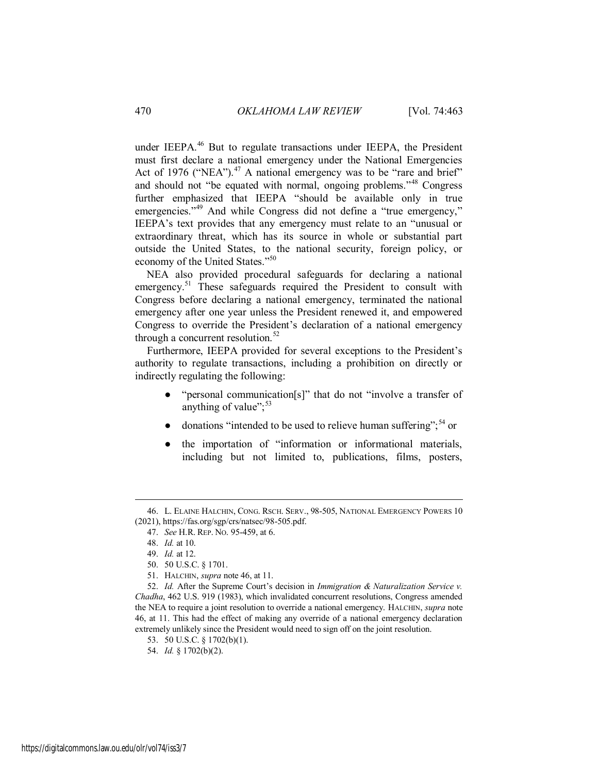under IEEPA.<sup>46</sup> But to regulate transactions under IEEPA, the President must first declare a national emergency under the National Emergencies Act of 1976 ("NEA"). $47$  A national emergency was to be "rare and brief" and should not "be equated with normal, ongoing problems."<sup>48</sup> Congress further emphasized that IEEPA "should be available only in true emergencies."<sup>49</sup> And while Congress did not define a "true emergency," IEEPA's text provides that any emergency must relate to an "unusual or extraordinary threat, which has its source in whole or substantial part outside the United States, to the national security, foreign policy, or economy of the United States."<sup>50</sup>

NEA also provided procedural safeguards for declaring a national emergency.<sup>51</sup> These safeguards required the President to consult with Congress before declaring a national emergency, terminated the national emergency after one year unless the President renewed it, and empowered Congress to override the President's declaration of a national emergency through a concurrent resolution. $52$ 

Furthermore, IEEPA provided for several exceptions to the President's authority to regulate transactions, including a prohibition on directly or indirectly regulating the following:

- "personal communication[s]" that do not "involve a transfer of anything of value";<sup>53</sup>
- donations "intended to be used to relieve human suffering":<sup>54</sup> or
- the importation of "information or informational materials, including but not limited to, publications, films, posters,

<sup>46.</sup> L. ELAINE HALCHIN, CONG. RSCH. SERV., 98-505, NATIONAL EMERGENCY POWERS 10 (2021), https://fas.org/sgp/crs/natsec/98-505.pdf.

<sup>47.</sup> *See* H.R. REP. NO. 95-459, at 6.

<sup>48.</sup> *Id.* at 10.

<sup>49.</sup> *Id.* at 12.

<sup>50. 50</sup> U.S.C. § 1701.

<sup>51.</sup> HALCHIN, *supra* note 46, at 11.

<sup>52.</sup> *Id.* After the Supreme Court's decision in *Immigration & Naturalization Service v. Chadha*, 462 U.S. 919 (1983), which invalidated concurrent resolutions, Congress amended the NEA to require a joint resolution to override a national emergency. HALCHIN, *supra* note 46, at 11. This had the effect of making any override of a national emergency declaration extremely unlikely since the President would need to sign off on the joint resolution.

<sup>53. 50</sup> U.S.C. § 1702(b)(1).

<sup>54.</sup> *Id.* § 1702(b)(2).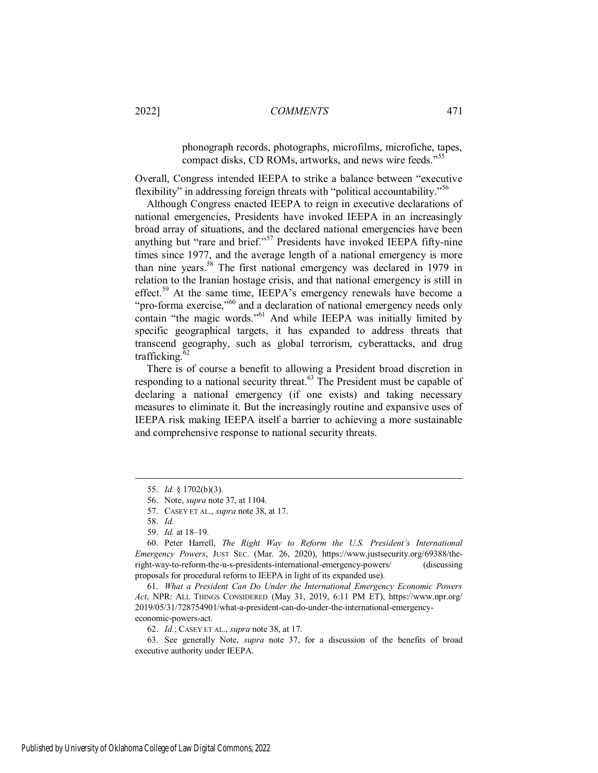phonograph records, photographs, microfilms, microfiche, tapes, compact disks, CD ROMs, artworks, and news wire feeds."<sup>55</sup>

Overall, Congress intended IEEPA to strike a balance between "executive flexibility" in addressing foreign threats with "political accountability."<sup>56</sup>

Although Congress enacted IEEPA to reign in executive declarations of national emergencies, Presidents have invoked IEEPA in an increasingly broad array of situations, and the declared national emergencies have been anything but "rare and brief."<sup>57</sup> Presidents have invoked IEEPA fifty-nine times since 1977, and the average length of a national emergency is more than nine years.<sup>58</sup> The first national emergency was declared in 1979 in relation to the Iranian hostage crisis, and that national emergency is still in effect.<sup>59</sup> At the same time, IEEPA's emergency renewals have become a "pro-forma exercise,"<sup>60</sup> and a declaration of national emergency needs only contain "the magic words."<sup>61</sup> And while IEEPA was initially limited by specific geographical targets, it has expanded to address threats that transcend geography, such as global terrorism, cyberattacks, and drug trafficking. $\overline{62}$ 

There is of course a benefit to allowing a President broad discretion in responding to a national security threat.<sup>63</sup> The President must be capable of declaring a national emergency (if one exists) and taking necessary measures to eliminate it. But the increasingly routine and expansive uses of IEEPA risk making IEEPA itself a barrier to achieving a more sustainable and comprehensive response to national security threats.

<span id="page-9-0"></span><sup>55.</sup> *Id.* § 1702(b)(3).

<sup>56.</sup> Note, *supra* note 37, at 1104.

<sup>57.</sup> CASEY ET AL., *supra* note 38, at 17.

<sup>58.</sup> *Id.*

<sup>59.</sup> *Id.* at 18–19.

<sup>60.</sup> Peter Harrell, *The Right Way to Reform the U.S. President's International Emergency Powers*, JUST SEC. (Mar. 26, 2020), https://www.justsecurity.org/69388/theright-way-to-reform-the-u-s-presidents-international-emergency-powers/ (discussing proposals for procedural reform to IEEPA in light of its expanded use).

<sup>61.</sup> *What a President Can Do Under the International Emergency Economic Powers Act*, NPR: ALL THINGS CONSIDERED (May 31, 2019, 6:11 PM ET), https://www.npr.org/ 2019/05/31/728754901/what-a-president-can-do-under-the-international-emergencyeconomic-powers-act.

<sup>62.</sup> *Id.*; CASEY ET AL., *supra* note 38, at 17.

<sup>63.</sup> See generally Note, *supra* note 37, for a discussion of the benefits of broad executive authority under IEEPA.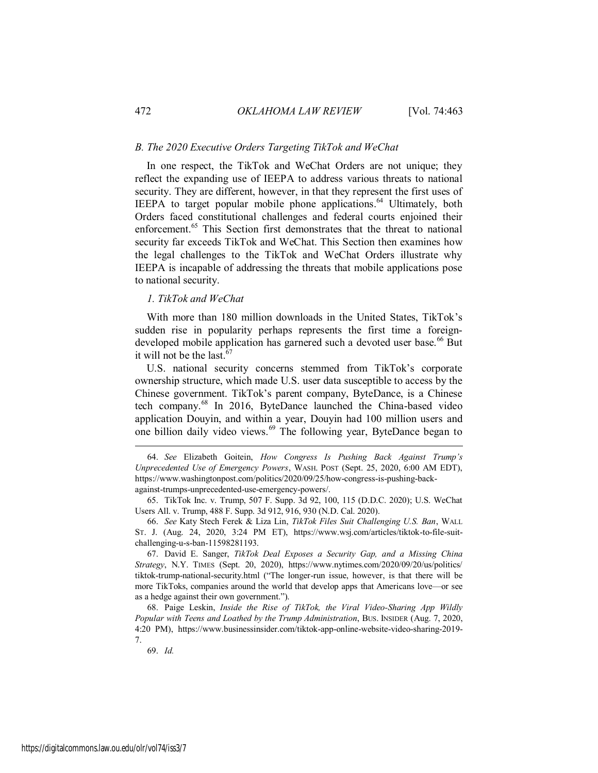## *B. The 2020 Executive Orders Targeting TikTok and WeChat*

In one respect, the TikTok and WeChat Orders are not unique; they reflect the expanding use of IEEPA to address various threats to national security. They are different, however, in that they represent the first uses of IEEPA to target popular mobile phone applications.<sup>64</sup> Ultimately, both Orders faced constitutional challenges and federal courts enjoined their enforcement.<sup>65</sup> This Section first demonstrates that the threat to national security far exceeds TikTok and WeChat. This Section then examines how the legal challenges to the TikTok and WeChat Orders illustrate why IEEPA is incapable of addressing the threats that mobile applications pose to national security.

## <span id="page-10-0"></span>*1. TikTok and WeChat*

With more than 180 million downloads in the United States, TikTok's sudden rise in popularity perhaps represents the first time a foreigndeveloped mobile application has garnered such a devoted user base.<sup>66</sup> But it will not be the last. $67$ 

U.S. national security concerns stemmed from TikTok's corporate ownership structure, which made U.S. user data susceptible to access by the Chinese government. TikTok's parent company, ByteDance, is a Chinese tech company.<sup>68</sup> In 2016, ByteDance launched the China-based video application Douyin, and within a year, Douyin had 100 million users and one billion daily video views. $69$  The following year, ByteDance began to

66. *See* Katy Stech Ferek & Liza Lin, *TikTok Files Suit Challenging U.S. Ban*, WALL ST. J. (Aug. 24, 2020, 3:24 PM ET), https://www.wsj.com/articles/tiktok-to-file-suitchallenging-u-s-ban-11598281193.

67. David E. Sanger, *TikTok Deal Exposes a Security Gap, and a Missing China Strategy*, N.Y. TIMES (Sept. 20, 2020), https://www.nytimes.com/2020/09/20/us/politics/ tiktok-trump-national-security.html ("The longer-run issue, however, is that there will be more TikToks, companies around the world that develop apps that Americans love—or see as a hedge against their own government.").

68. Paige Leskin, *Inside the Rise of TikTok, the Viral Video-Sharing App Wildly Popular with Teens and Loathed by the Trump Administration*, BUS. INSIDER (Aug. 7, 2020, 4:20 PM), https://www.businessinsider.com/tiktok-app-online-website-video-sharing-2019- 7.

69. *Id.*

<sup>64.</sup> *See* Elizabeth Goitein, *How Congress Is Pushing Back Against Trump's Unprecedented Use of Emergency Powers*, WASH. POST (Sept. 25, 2020, 6:00 AM EDT), https://www.washingtonpost.com/politics/2020/09/25/how-congress-is-pushing-backagainst-trumps-unprecedented-use-emergency-powers/.

<sup>65.</sup> TikTok Inc. v. Trump, 507 F. Supp. 3d 92, 100, 115 (D.D.C. 2020); U.S. WeChat Users All. v. Trump, 488 F. Supp. 3d 912, 916, 930 (N.D. Cal. 2020).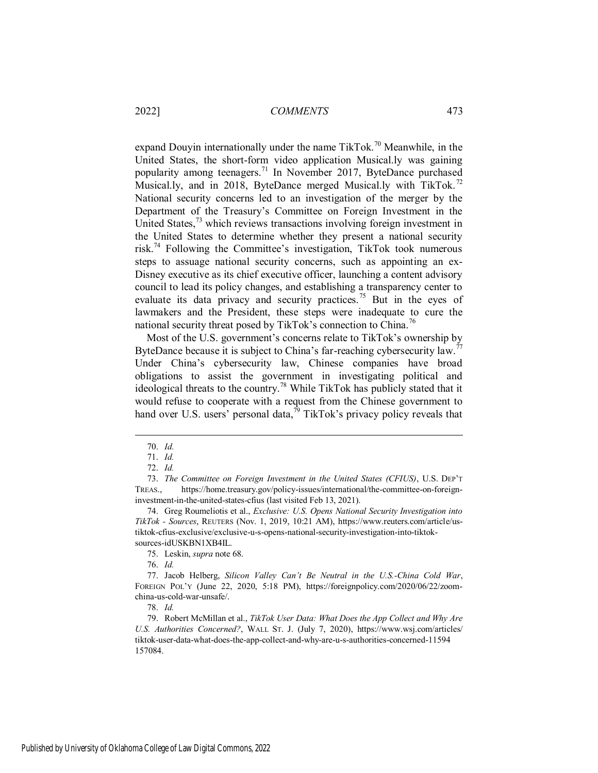expand Douyin internationally under the name TikTok.<sup>70</sup> Meanwhile, in the United States, the short-form video application Musical.ly was gaining popularity among teenagers.<sup>71</sup> In November 2017, ByteDance purchased Musical.ly, and in 2018, ByteDance merged Musical.ly with TikTok.<sup>72</sup> National security concerns led to an investigation of the merger by the Department of the Treasury's Committee on Foreign Investment in the United States, $^{73}$  which reviews transactions involving foreign investment in the United States to determine whether they present a national security risk.<sup>74</sup> Following the Committee's investigation, TikTok took numerous steps to assuage national security concerns, such as appointing an ex-Disney executive as its chief executive officer, launching a content advisory council to lead its policy changes, and establishing a transparency center to evaluate its data privacy and security practices.<sup>75</sup> But in the eyes of lawmakers and the President, these steps were inadequate to cure the national security threat posed by TikTok's connection to China.<sup>76</sup>

Most of the U.S. government's concerns relate to TikTok's ownership by ByteDance because it is subject to China's far-reaching cybersecurity law.<sup>77</sup> Under China's cybersecurity law, Chinese companies have broad obligations to assist the government in investigating political and ideological threats to the country.<sup>78</sup> While TikTok has publicly stated that it would refuse to cooperate with a request from the Chinese government to hand over U.S. users' personal data,  $\bar{p}$  TikTok's privacy policy reveals that

 $\overline{a}$ 

78. *Id.*

<sup>70.</sup> *Id.*

<sup>71.</sup> *Id.*

<sup>72.</sup> *Id.* 

<sup>73.</sup> *The Committee on Foreign Investment in the United States (CFIUS)*, U.S. DEP'T TREAS., https://home.treasury.gov/policy-issues/international/the-committee-on-foreigninvestment-in-the-united-states-cfius (last visited Feb 13, 2021).

<sup>74.</sup> Greg Roumeliotis et al., *Exclusive: U.S. Opens National Security Investigation into TikTok - Sources*, REUTERS (Nov. 1, 2019, 10:21 AM), https://www.reuters.com/article/ustiktok-cfius-exclusive/exclusive-u-s-opens-national-security-investigation-into-tiktoksources-idUSKBN1XB4IL.

<sup>75.</sup> Leskin, *supra* note 68.

<sup>76.</sup> *Id.*

<sup>77.</sup> Jacob Helberg, *Silicon Valley Can't Be Neutral in the U.S.-China Cold War*, FOREIGN POL'Y (June 22, 2020, 5:18 PM), https://foreignpolicy.com/2020/06/22/zoomchina-us-cold-war-unsafe/.

<sup>79.</sup> Robert McMillan et al., *TikTok User Data: What Does the App Collect and Why Are U.S. Authorities Concerned?*, WALL ST. J. (July 7, 2020), https://www.wsj.com/articles/ tiktok-user-data-what-does-the-app-collect-and-why-are-u-s-authorities-concerned-11594 157084.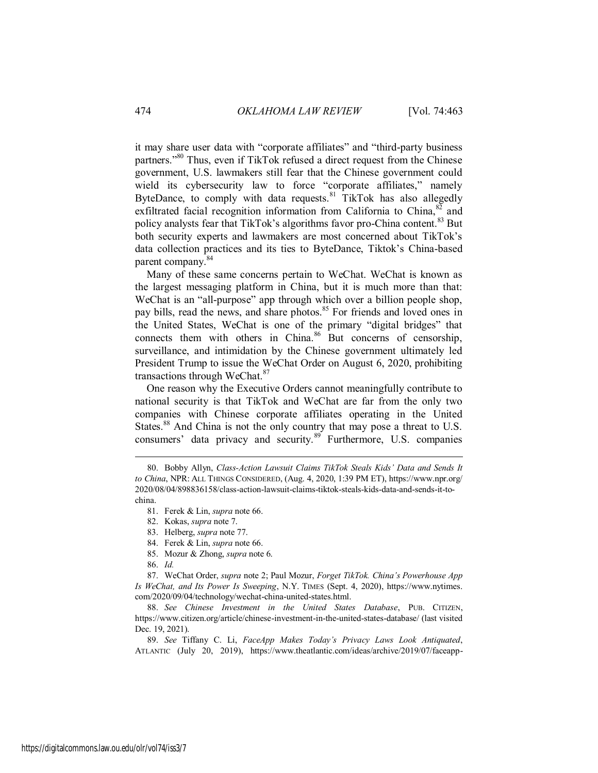it may share user data with "corporate affiliates" and "third-party business partners."<sup>80</sup> Thus, even if TikTok refused a direct request from the Chinese government, U.S. lawmakers still fear that the Chinese government could wield its cybersecurity law to force "corporate affiliates," namely ByteDance, to comply with data requests.<sup>81</sup> TikTok has also allegedly exfiltrated facial recognition information from California to China,  $82$  and policy analysts fear that TikTok's algorithms favor pro-China content.<sup>83</sup> But both security experts and lawmakers are most concerned about TikTok's data collection practices and its ties to ByteDance, Tiktok's China-based parent company.<sup>84</sup>

Many of these same concerns pertain to WeChat. WeChat is known as the largest messaging platform in China, but it is much more than that: WeChat is an "all-purpose" app through which over a billion people shop, pay bills, read the news, and share photos.<sup>85</sup> For friends and loved ones in the United States, WeChat is one of the primary "digital bridges" that connects them with others in China. $86$  But concerns of censorship, surveillance, and intimidation by the Chinese government ultimately led President Trump to issue the WeChat Order on August 6, 2020, prohibiting transactions through WeChat.<sup>87</sup>

One reason why the Executive Orders cannot meaningfully contribute to national security is that TikTok and WeChat are far from the only two companies with Chinese corporate affiliates operating in the United States.<sup>88</sup> And China is not the only country that may pose a threat to U.S. consumers' data privacy and security.<sup>89</sup> Furthermore, U.S. companies

<sup>80.</sup> Bobby Allyn, *Class-Action Lawsuit Claims TikTok Steals Kids' Data and Sends It to China*, NPR: ALL THINGS CONSIDERED, (Aug. 4, 2020, 1:39 PM ET), https://www.npr.org/ 2020/08/04/898836158/class-action-lawsuit-claims-tiktok-steals-kids-data-and-sends-it-tochina.

<sup>81.</sup> Ferek & Lin, *supra* note 66.

<sup>82.</sup> [Kokas,](#page-2-0) *supra* note 7.

<sup>83.</sup> Helberg, *supra* note 77.

<sup>84.</sup> Ferek & Lin, *supra* note 66.

<sup>85.</sup> Mozur & Zhong, *supra* note 6.

<sup>86.</sup> *Id.*

<sup>87.</sup> WeChat Order, *supra* note 2; Paul Mozur, *Forget TikTok. China's Powerhouse App Is WeChat, and Its Power Is Sweeping*, N.Y. TIMES (Sept. 4, 2020), https://www.nytimes. com/2020/09/04/technology/wechat-china-united-states.html.

<sup>88.</sup> *See Chinese Investment in the United States Database*, PUB. CITIZEN, https://www.citizen.org/article/chinese-investment-in-the-united-states-database/ (last visited Dec. 19, 2021).

<sup>89.</sup> *See* Tiffany C. Li, *FaceApp Makes Today's Privacy Laws Look Antiquated*, ATLANTIC (July 20, 2019), https://www.theatlantic.com/ideas/archive/2019/07/faceapp-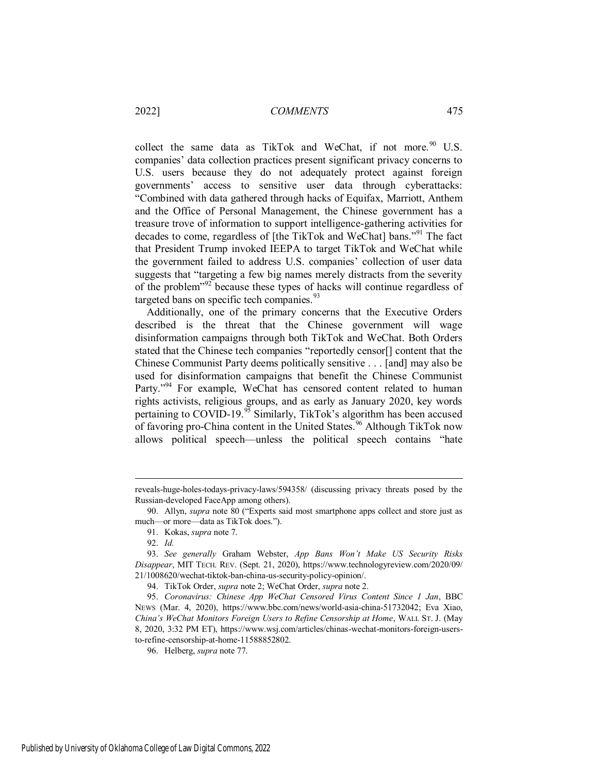collect the same data as TikTok and WeChat, if not more.<sup>90</sup> U.S. companies' data collection practices present significant privacy concerns to U.S. users because they do not adequately protect against foreign governments' access to sensitive user data through cyberattacks: "Combined with data gathered through hacks of Equifax, Marriott, Anthem and the Office of Personal Management, the Chinese government has a treasure trove of information to support intelligence-gathering activities for decades to come, regardless of [the TikTok and WeChat] bans."<sup>91</sup> The fact that President Trump invoked IEEPA to target TikTok and WeChat while the government failed to address U.S. companies' collection of user data suggests that "targeting a few big names merely distracts from the severity of the problem<sup> $192$ </sup> because these types of hacks will continue regardless of targeted bans on specific tech companies.<sup>93</sup>

Additionally, one of the primary concerns that the Executive Orders described is the threat that the Chinese government will wage disinformation campaigns through both TikTok and WeChat. Both Orders stated that the Chinese tech companies "reportedly censor[] content that the Chinese Communist Party deems politically sensitive . . . [and] may also be used for disinformation campaigns that benefit the Chinese Communist Party."<sup>94</sup> For example, WeChat has censored content related to human rights activists, religious groups, and as early as January 2020, key words pertaining to COVID-19. $95$  Similarly, TikTok's algorithm has been accused of favoring pro-China content in the United States.<sup>96</sup> Although TikTok now allows political speech—unless the political speech contains "hate

reveals-huge-holes-todays-privacy-laws/594358/ (discussing privacy threats posed by the Russian-developed FaceApp among others).

<sup>90.</sup> Allyn, *supra* note 80 ("Experts said most smartphone apps collect and store just as much—or more—data as TikTok does.").

<sup>91.</sup> Kokas, *supra* note 7.

<sup>92.</sup> *Id.* 

<sup>93.</sup> *See generally* Graham Webster, *App Bans Won't Make US Security Risks Disappear*, MIT TECH. REV. (Sept. 21, 2020), https://www.technologyreview.com/2020/09/ 21/1008620/wechat-tiktok-ban-china-us-security-policy-opinion/.

<sup>94.</sup> TikTok Order, *supra* note 2; WeChat Order, *supra* note 2.

<sup>95.</sup> *Coronavirus: Chinese App WeChat Censored Virus Content Since 1 Jan*, BBC NEWS (Mar. 4, 2020), https://www.bbc.com/news/world-asia-china-51732042; Eva Xiao, *China's WeChat Monitors Foreign Users to Refine Censorship at Home*, WALL ST. J. (May 8, 2020, 3:32 PM ET), https://www.wsj.com/articles/chinas-wechat-monitors-foreign-usersto-refine-censorship-at-home-11588852802.

<sup>96.</sup> Helberg, *supra* note 77.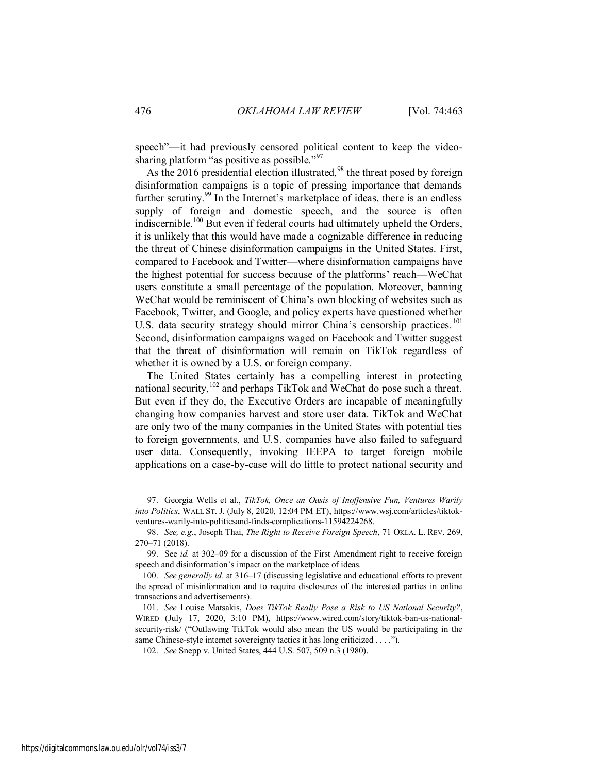speech"—it had previously censored political content to keep the videosharing platform "as positive as possible."<sup>97</sup>

As the 2016 presidential election illustrated,<sup>98</sup> the threat posed by foreign disinformation campaigns is a topic of pressing importance that demands further scrutiny.<sup>99</sup> In the Internet's marketplace of ideas, there is an endless supply of foreign and domestic speech, and the source is often indiscernible.<sup>100</sup> But even if federal courts had ultimately upheld the Orders, it is unlikely that this would have made a cognizable difference in reducing the threat of Chinese disinformation campaigns in the United States. First, compared to Facebook and Twitter—where disinformation campaigns have the highest potential for success because of the platforms' reach—WeChat users constitute a small percentage of the population. Moreover, banning WeChat would be reminiscent of China's own blocking of websites such as Facebook, Twitter, and Google, and policy experts have questioned whether U.S. data security strategy should mirror China's censorship practices.<sup>101</sup> Second, disinformation campaigns waged on Facebook and Twitter suggest that the threat of disinformation will remain on TikTok regardless of whether it is owned by a U.S. or foreign company.

The United States certainly has a compelling interest in protecting national security,  $102$  and perhaps TikTok and WeChat do pose such a threat. But even if they do, the Executive Orders are incapable of meaningfully changing how companies harvest and store user data. TikTok and WeChat are only two of the many companies in the United States with potential ties to foreign governments, and U.S. companies have also failed to safeguard user data. Consequently, invoking IEEPA to target foreign mobile applications on a case-by-case will do little to protect national security and

<sup>97.</sup> Georgia Wells et al., *TikTok, Once an Oasis of Inoffensive Fun, Ventures Warily into Politics*, WALL ST. J. (July 8, 2020, 12:04 PM ET), https://www.wsj.com/articles/tiktokventures-warily-into-politicsand-finds-complications-11594224268.

<sup>98.</sup> *See, e.g.*, Joseph Thai, *The Right to Receive Foreign Speech*, 71 OKLA. L. REV. 269, 270–71 (2018).

<sup>99.</sup> See *id.* at 302–09 for a discussion of the First Amendment right to receive foreign speech and disinformation's impact on the marketplace of ideas.

<sup>100.</sup> *See generally id.* at 316–17 (discussing legislative and educational efforts to prevent the spread of misinformation and to require disclosures of the interested parties in online transactions and advertisements).

<sup>101.</sup> *See* Louise Matsakis, *Does TikTok Really Pose a Risk to US National Security?*, WIRED (July 17, 2020, 3:10 PM), https://www.wired.com/story/tiktok-ban-us-nationalsecurity-risk/ ("Outlawing TikTok would also mean the US would be participating in the same Chinese-style internet sovereignty tactics it has long criticized . . . .").

<sup>102.</sup> *See* Snepp v. United States, 444 U.S. 507, 509 n.3 (1980).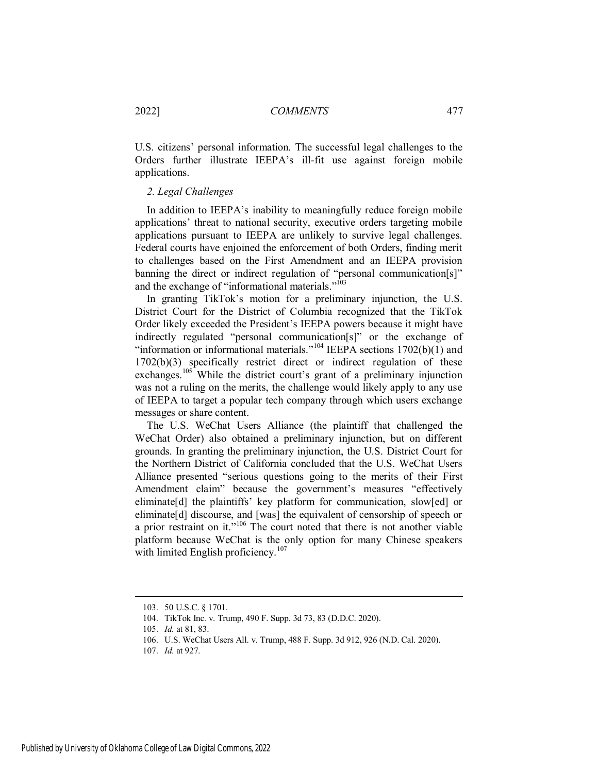U.S. citizens' personal information. The successful legal challenges to the Orders further illustrate IEEPA's ill-fit use against foreign mobile applications.

## <span id="page-15-0"></span>*2. Legal Challenges*

In addition to IEEPA's inability to meaningfully reduce foreign mobile applications' threat to national security, executive orders targeting mobile applications pursuant to IEEPA are unlikely to survive legal challenges. Federal courts have enjoined the enforcement of both Orders, finding merit to challenges based on the First Amendment and an IEEPA provision banning the direct or indirect regulation of "personal communication[s]" and the exchange of "informational materials."<sup>103</sup>

In granting TikTok's motion for a preliminary injunction, the U.S. District Court for the District of Columbia recognized that the TikTok Order likely exceeded the President's IEEPA powers because it might have indirectly regulated "personal communication[s]" or the exchange of "information or informational materials."<sup>104</sup> IEEPA sections  $1702(b)(1)$  and 1702(b)(3) specifically restrict direct or indirect regulation of these exchanges.<sup>105</sup> While the district court's grant of a preliminary injunction was not a ruling on the merits, the challenge would likely apply to any use of IEEPA to target a popular tech company through which users exchange messages or share content.

The U.S. WeChat Users Alliance (the plaintiff that challenged the WeChat Order) also obtained a preliminary injunction, but on different grounds. In granting the preliminary injunction, the U.S. District Court for the Northern District of California concluded that the U.S. WeChat Users Alliance presented "serious questions going to the merits of their First Amendment claim" because the government's measures "effectively eliminate<sup>[d]</sup> the plaintiffs' key platform for communication, slow[ed] or eliminate<sup>[d]</sup> discourse, and [was] the equivalent of censorship of speech or a prior restraint on it."<sup>106</sup> The court noted that there is not another viable platform because WeChat is the only option for many Chinese speakers with limited English proficiency.<sup>107</sup>

<sup>103. 50</sup> U.S.C. § 1701.

<sup>104.</sup> TikTok Inc. v. Trump, 490 F. Supp. 3d 73, 83 (D.D.C. 2020).

<sup>105.</sup> *Id.* at 81, 83.

<sup>106.</sup> U.S. WeChat Users All. v. Trump, 488 F. Supp. 3d 912, 926 (N.D. Cal. 2020).

<sup>107.</sup> *Id.* at 927.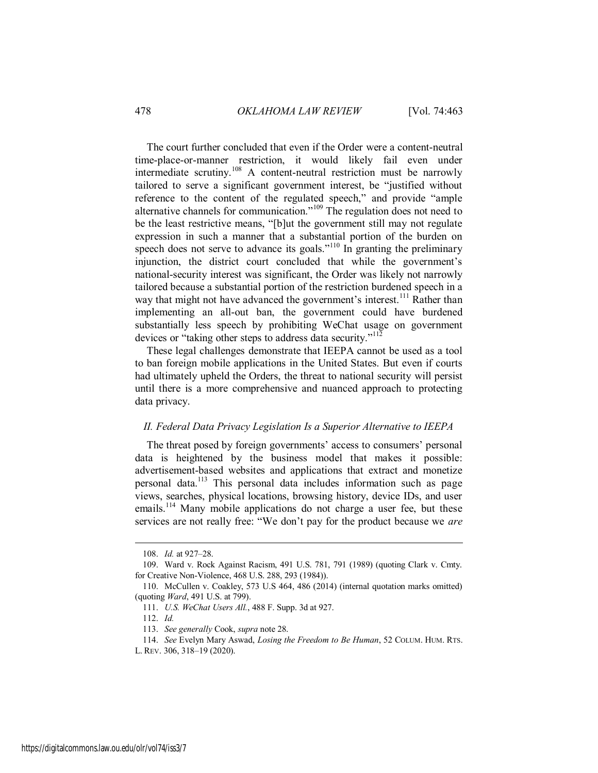The court further concluded that even if the Order were a content-neutral time-place-or-manner restriction, it would likely fail even under intermediate scrutiny.<sup>108</sup> A content-neutral restriction must be narrowly tailored to serve a significant government interest, be "justified without reference to the content of the regulated speech," and provide "ample alternative channels for communication."<sup>109</sup> The regulation does not need to be the least restrictive means, "[b]ut the government still may not regulate expression in such a manner that a substantial portion of the burden on speech does not serve to advance its goals."<sup>110</sup> In granting the preliminary injunction, the district court concluded that while the government's national-security interest was significant, the Order was likely not narrowly tailored because a substantial portion of the restriction burdened speech in a way that might not have advanced the government's interest.<sup>111</sup> Rather than implementing an all-out ban, the government could have burdened substantially less speech by prohibiting WeChat usage on government devices or "taking other steps to address data security."<sup>112</sup>

These legal challenges demonstrate that IEEPA cannot be used as a tool to ban foreign mobile applications in the United States. But even if courts had ultimately upheld the Orders, the threat to national security will persist until there is a more comprehensive and nuanced approach to protecting data privacy.

## <span id="page-16-0"></span>*II. Federal Data Privacy Legislation Is a Superior Alternative to IEEPA*

The threat posed by foreign governments' access to consumers' personal data is heightened by the business model that makes it possible: advertisement-based websites and applications that extract and monetize personal data.<sup>113</sup> This personal data includes information such as page views, searches, physical locations, browsing history, device IDs, and user emails.<sup>114</sup> Many mobile applications do not charge a user fee, but these services are not really free: "We don't pay for the product because we *are*

<sup>108.</sup> *Id.* at 927–28.

<sup>109.</sup> Ward v. Rock Against Racism, 491 U.S. 781, 791 (1989) (quoting Clark v. Cmty. for Creative Non-Violence, 468 U.S. 288, 293 (1984)).

<sup>110.</sup> McCullen v. Coakley, 573 U.S 464, 486 (2014) (internal quotation marks omitted) (quoting *Ward*, 491 U.S. at 799).

<sup>111.</sup> *U.S. WeChat Users All.*, 488 F. Supp. 3d at 927.

<sup>112.</sup> *Id.*

<sup>113.</sup> *See generally* Cook, *supra* note 28.

<sup>114.</sup> *See* Evelyn Mary Aswad, *Losing the Freedom to Be Human*, 52 COLUM. HUM. RTS.

L. REV. 306, 318–19 (2020).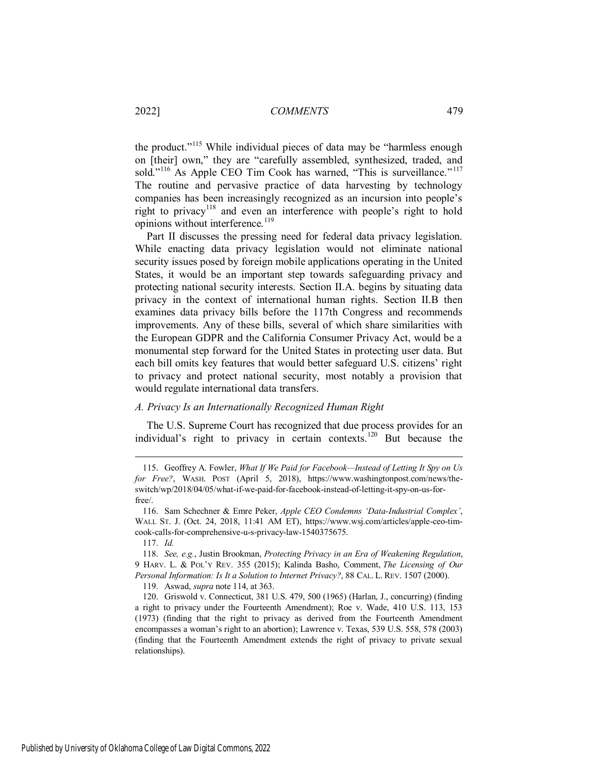the product."<sup>115</sup> While individual pieces of data may be "harmless enough on [their] own," they are "carefully assembled, synthesized, traded, and sold."<sup>116</sup> As Apple CEO Tim Cook has warned, "This is surveillance."<sup>117</sup> The routine and pervasive practice of data harvesting by technology companies has been increasingly recognized as an incursion into people's right to privacy<sup>118</sup> and even an interference with people's right to hold opinions without interference.<sup>119</sup>

Part II discusses the pressing need for federal data privacy legislation. While enacting data privacy legislation would not eliminate national security issues posed by foreign mobile applications operating in the United States, it would be an important step towards safeguarding privacy and protecting national security interests. Section II.A. begins by situating data privacy in the context of international human rights. Section II.B then examines data privacy bills before the 117th Congress and recommends improvements. Any of these bills, several of which share similarities with the European GDPR and the California Consumer Privacy Act, would be a monumental step forward for the United States in protecting user data. But each bill omits key features that would better safeguard U.S. citizens' right to privacy and protect national security, most notably a provision that would regulate international data transfers.

## <span id="page-17-0"></span>*A. Privacy Is an Internationally Recognized Human Right*

The U.S. Supreme Court has recognized that due process provides for an individual's right to privacy in certain contexts.<sup>120</sup> But because the

 $\overline{a}$ 

119. Aswad, *supra* note 114, at 363.

<sup>115.</sup> Geoffrey A. Fowler, *What If We Paid for Facebook—Instead of Letting It Spy on Us for Free?*, WASH. POST (April 5, 2018), https://www.washingtonpost.com/news/theswitch/wp/2018/04/05/what-if-we-paid-for-facebook-instead-of-letting-it-spy-on-us-forfree/.

<sup>116.</sup> Sam Schechner & Emre Peker, *Apple CEO Condemns 'Data-Industrial Complex'*, WALL ST. J. (Oct. 24, 2018, 11:41 AM ET), https://www.wsj.com/articles/apple-ceo-timcook-calls-for-comprehensive-u-s-privacy-law-1540375675.

<sup>117.</sup> *Id.*

<sup>118.</sup> *See, e.g.*, Justin Brookman, *Protecting Privacy in an Era of Weakening Regulation*, 9 HARV. L. & POL'Y REV. 355 (2015); Kalinda Basho, Comment, *The Licensing of Our Personal Information: Is It a Solution to Internet Privacy?*, 88 CAL. L. REV. 1507 (2000).

<sup>120.</sup> Griswold v. Connecticut, 381 U.S. 479, 500 (1965) (Harlan, J., concurring) (finding a right to privacy under the Fourteenth Amendment); Roe v. Wade, 410 U.S. 113, 153 (1973) (finding that the right to privacy as derived from the Fourteenth Amendment encompasses a woman's right to an abortion); Lawrence v. Texas, 539 U.S. 558, 578 (2003) (finding that the Fourteenth Amendment extends the right of privacy to private sexual relationships).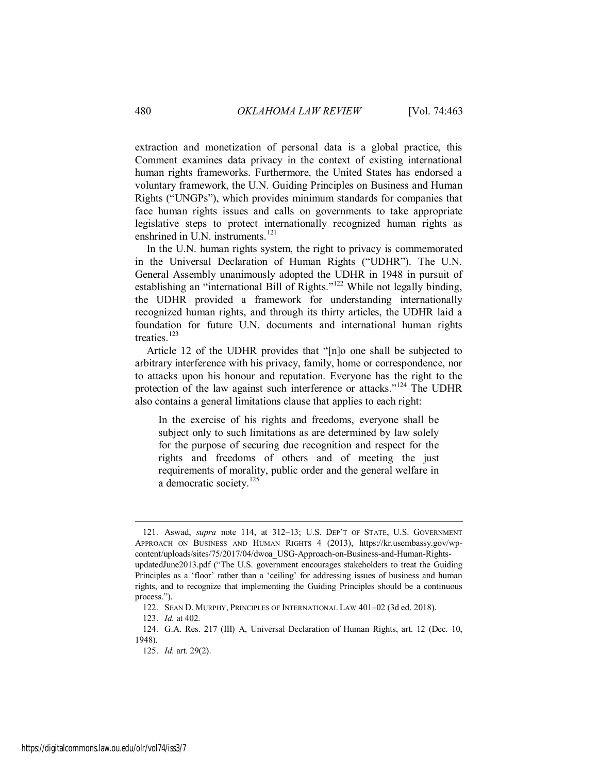extraction and monetization of personal data is a global practice, this Comment examines data privacy in the context of existing international human rights frameworks. Furthermore, the United States has endorsed a voluntary framework, the U.N. Guiding Principles on Business and Human Rights ("UNGPs"), which provides minimum standards for companies that face human rights issues and calls on governments to take appropriate legislative steps to protect internationally recognized human rights as enshrined in U.N. instruments.<sup>121</sup>

In the U.N. human rights system, the right to privacy is commemorated in the Universal Declaration of Human Rights ("UDHR"). The U.N. General Assembly unanimously adopted the UDHR in 1948 in pursuit of establishing an "international Bill of Rights."<sup>122</sup> While not legally binding, the UDHR provided a framework for understanding internationally recognized human rights, and through its thirty articles, the UDHR laid a foundation for future U.N. documents and international human rights treaties.<sup>123</sup>

Article 12 of the UDHR provides that "[n]o one shall be subjected to arbitrary interference with his privacy, family, home or correspondence, nor to attacks upon his honour and reputation. Everyone has the right to the protection of the law against such interference or attacks."<sup>124</sup> The UDHR also contains a general limitations clause that applies to each right:

In the exercise of his rights and freedoms, everyone shall be subject only to such limitations as are determined by law solely for the purpose of securing due recognition and respect for the rights and freedoms of others and of meeting the just requirements of morality, public order and the general welfare in a democratic society.<sup>125</sup>

<sup>121.</sup> Aswad, *supra* note 114, at 312–13; U.S. DEP'T OF STATE, U.S. GOVERNMENT APPROACH ON BUSINESS AND HUMAN RIGHTS 4 (2013), https://kr.usembassy.gov/wpcontent/uploads/sites/75/2017/04/dwoa\_USG-Approach-on-Business-and-Human-RightsupdatedJune2013.pdf ("The U.S. government encourages stakeholders to treat the Guiding Principles as a 'floor' rather than a 'ceiling' for addressing issues of business and human rights, and to recognize that implementing the Guiding Principles should be a continuous process.").

<sup>122.</sup> SEAN D. MURPHY, PRINCIPLES OF INTERNATIONAL LAW 401–02 (3d ed. 2018).

<sup>123.</sup> *Id.* at 402.

<sup>124.</sup> G.A. Res. 217 (III) A, Universal Declaration of Human Rights, art. 12 (Dec. 10, 1948).

<sup>125.</sup> *Id.* art. 29(2).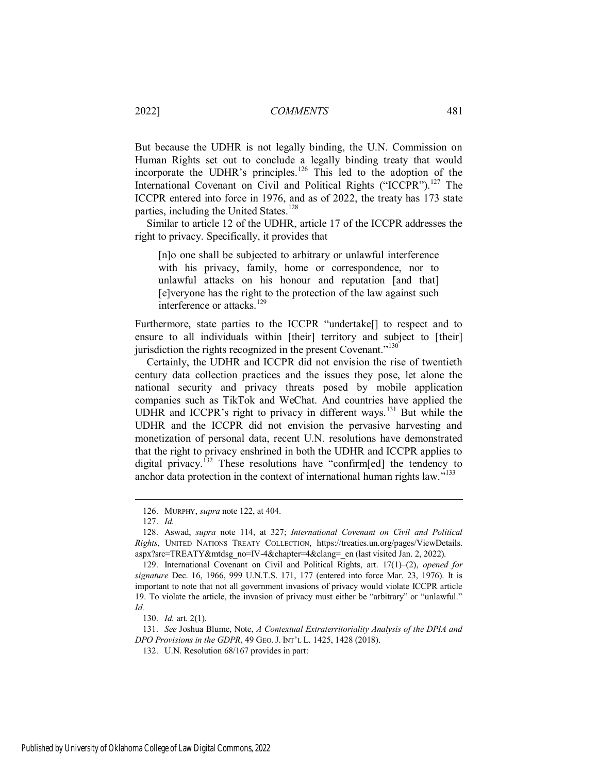But because the UDHR is not legally binding, the U.N. Commission on Human Rights set out to conclude a legally binding treaty that would incorporate the UDHR's principles.<sup>126</sup> This led to the adoption of the International Covenant on Civil and Political Rights ("ICCPR").<sup>127</sup> The ICCPR entered into force in 1976, and as of 2022, the treaty has 173 state parties, including the United States.<sup>128</sup>

Similar to article 12 of the UDHR, article 17 of the ICCPR addresses the right to privacy. Specifically, it provides that

[n]o one shall be subjected to arbitrary or unlawful interference with his privacy, family, home or correspondence, nor to unlawful attacks on his honour and reputation [and that] [e]veryone has the right to the protection of the law against such interference or attacks.<sup>129</sup>

Furthermore, state parties to the ICCPR "undertake<sup>[]</sup> to respect and to ensure to all individuals within [their] territory and subject to [their] jurisdiction the rights recognized in the present Covenant."<sup>130</sup>

Certainly, the UDHR and ICCPR did not envision the rise of twentieth century data collection practices and the issues they pose, let alone the national security and privacy threats posed by mobile application companies such as TikTok and WeChat. And countries have applied the UDHR and ICCPR's right to privacy in different ways.<sup>131</sup> But while the UDHR and the ICCPR did not envision the pervasive harvesting and monetization of personal data, recent U.N. resolutions have demonstrated that the right to privacy enshrined in both the UDHR and ICCPR applies to digital privacy.<sup>132</sup> These resolutions have "confirm[ed] the tendency to anchor data protection in the context of international human rights law."<sup>133</sup>

<span id="page-19-0"></span> $\overline{a}$ 

130. *Id.* art. 2(1).

131. *See* Joshua Blume, Note, *A Contextual Extraterritoriality Analysis of the DPIA and DPO Provisions in the GDPR*, 49 GEO. J. INT'L L. 1425, 1428 (2018).

132. U.N. Resolution 68/167 provides in part:

<sup>126.</sup> MURPHY, *supra* note 122, at 404.

<sup>127.</sup> *Id.*

<sup>128.</sup> Aswad, *supra* note 114, at 327; *International Covenant on Civil and Political Rights*, UNITED NATIONS TREATY COLLECTION, https://treaties.un.org/pages/ViewDetails. aspx?src=TREATY&mtdsg\_no=IV-4&chapter=4&clang=\_en (last visited Jan. 2, 2022).

<sup>129.</sup> International Covenant on Civil and Political Rights, art. 17(1)–(2), *opened for signature* Dec. 16, 1966, 999 U.N.T.S. 171, 177 (entered into force Mar. 23, 1976). It is important to note that not all government invasions of privacy would violate ICCPR article 19. To violate the article, the invasion of privacy must either be "arbitrary" or "unlawful." *Id.*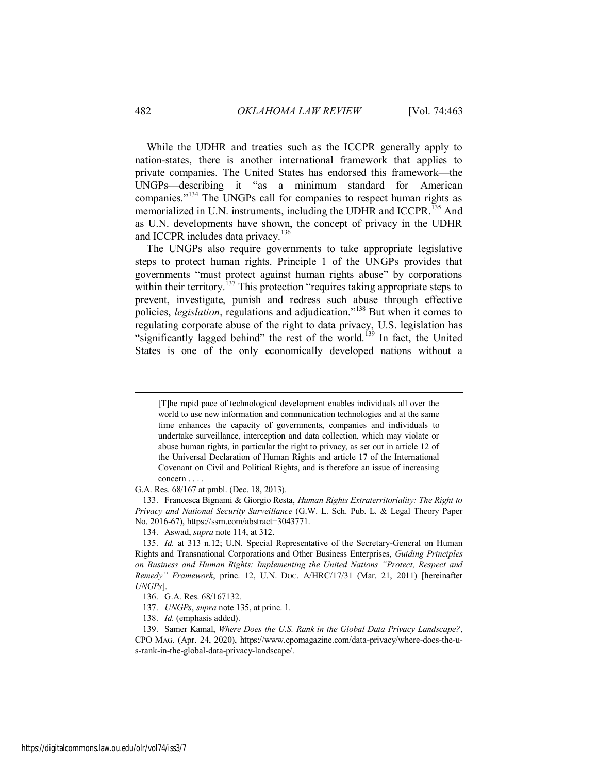While the UDHR and treaties such as the ICCPR generally apply to nation-states, there is another international framework that applies to private companies. The United States has endorsed this framework—the UNGPs—describing it "as a minimum standard for American companies."<sup>134</sup> The UNGPs call for companies to respect human rights as memorialized in U.N. instruments, including the UDHR and ICCPR.<sup>135</sup> And as U.N. developments have shown, the concept of privacy in the UDHR and ICCPR includes data privacy.<sup>136</sup>

The UNGPs also require governments to take appropriate legislative steps to protect human rights. Principle 1 of the UNGPs provides that governments "must protect against human rights abuse" by corporations within their territory.<sup>137</sup> This protection "requires taking appropriate steps to prevent, investigate, punish and redress such abuse through effective policies, *legislation*, regulations and adjudication."<sup>138</sup> But when it comes to regulating corporate abuse of the right to data privacy, U.S. legislation has "significantly lagged behind" the rest of the world.<sup>139</sup> In fact, the United States is one of the only economically developed nations without a

G.A. Res. 68/167 at pmbl. (Dec. 18, 2013).

133. Francesca Bignami & Giorgio Resta, *Human Rights Extraterritoriality: The Right to Privacy and National Security Surveillance* (G.W. L. Sch. Pub. L. & Legal Theory Paper No. 2016-67), https://ssrn.com/abstract=3043771.

134. Aswad, *supra* note 114, at 312.

<sup>[</sup>T]he rapid pace of technological development enables individuals all over the world to use new information and communication technologies and at the same time enhances the capacity of governments, companies and individuals to undertake surveillance, interception and data collection, which may violate or abuse human rights, in particular the right to privacy, as set out in article 12 of the Universal Declaration of Human Rights and article 17 of the International Covenant on Civil and Political Rights, and is therefore an issue of increasing concern . . . .

<sup>135.</sup> *Id.* at 313 n.12; U.N. Special Representative of the Secretary-General on Human Rights and Transnational Corporations and Other Business Enterprises, *Guiding Principles on Business and Human Rights: Implementing the United Nations "Protect, Respect and Remedy" Framework*, princ. 12, U.N. DOC. A/HRC/17/31 (Mar. 21, 2011) [hereinafter *UNGPs*].

<sup>136.</sup> G.A. Res. 68/16[7132.](#page-19-0)

<sup>137.</sup> *UNGPs*, *supra* note 135, at princ. 1.

<sup>138.</sup> *Id.* (emphasis added).

<sup>139.</sup> Samer Kamal, *Where Does the U.S. Rank in the Global Data Privacy Landscape?*, CPO MAG. (Apr. 24, 2020), https://www.cpomagazine.com/data-privacy/where-does-the-us-rank-in-the-global-data-privacy-landscape/.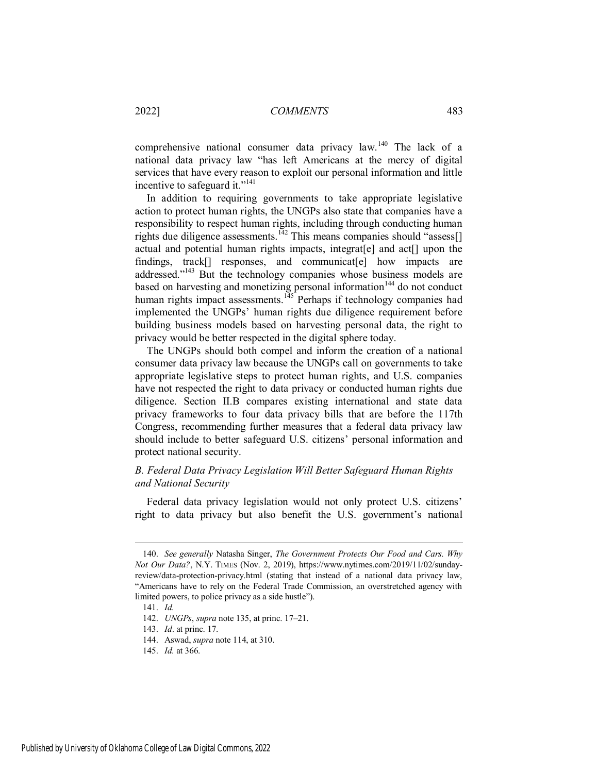comprehensive national consumer data privacy law.<sup>140</sup> The lack of a national data privacy law "has left Americans at the mercy of digital services that have every reason to exploit our personal information and little incentive to safeguard it."<sup>141</sup>

In addition to requiring governments to take appropriate legislative action to protect human rights, the UNGPs also state that companies have a responsibility to respect human rights, including through conducting human rights due diligence assessments.<sup>142</sup> This means companies should "assess[] actual and potential human rights impacts, integrat[e] and act[] upon the findings, track<sup>[]</sup> responses, and communicat<sup>[e]</sup> how impacts are addressed."<sup>143</sup> But the technology companies whose business models are based on harvesting and monetizing personal information<sup>144</sup> do not conduct human rights impact assessments.<sup>145</sup> Perhaps if technology companies had implemented the UNGPs' human rights due diligence requirement before building business models based on harvesting personal data, the right to privacy would be better respected in the digital sphere today.

The UNGPs should both compel and inform the creation of a national consumer data privacy law because the UNGPs call on governments to take appropriate legislative steps to protect human rights, and U.S. companies have not respected the right to data privacy or conducted human rights due diligence. Section II.B compares existing international and state data privacy frameworks to four data privacy bills that are before the 117th Congress, recommending further measures that a federal data privacy law should include to better safeguard U.S. citizens' personal information and protect national security.

## <span id="page-21-0"></span>*B. Federal Data Privacy Legislation Will Better Safeguard Human Rights and National Security*

Federal data privacy legislation would not only protect U.S. citizens' right to data privacy but also benefit the U.S. government's national

<sup>140.</sup> *See generally* Natasha Singer, *The Government Protects Our Food and Cars. Why Not Our Data?*, N.Y. TIMES (Nov. 2, 2019), https://www.nytimes.com/2019/11/02/sundayreview/data-protection-privacy.html (stating that instead of a national data privacy law, "Americans have to rely on the Federal Trade Commission, an overstretched agency with limited powers, to police privacy as a side hustle").

<sup>141.</sup> *Id.*

<sup>142.</sup> *UNGPs*, *supra* note 135, at princ. 17–21.

<sup>143.</sup> *Id*. at princ. 17.

<sup>144.</sup> Aswad, *supra* note 114, at 310.

<sup>145.</sup> *Id.* at 366.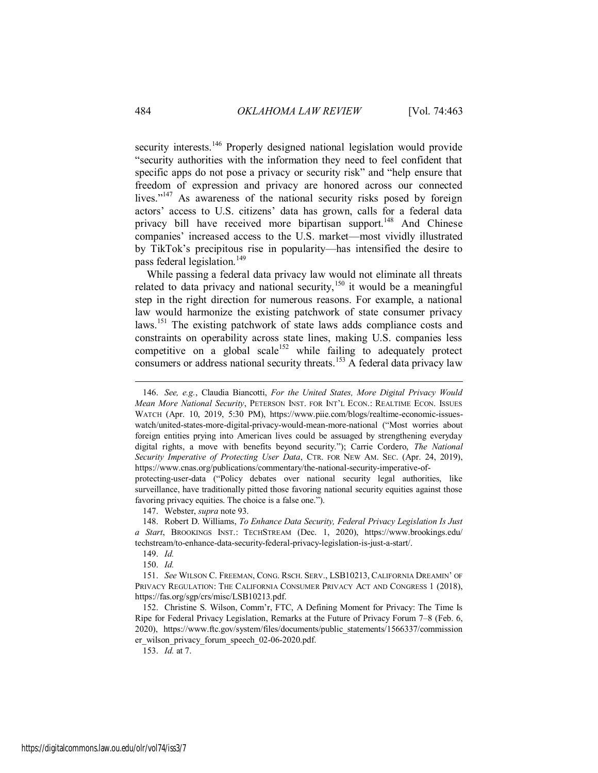security interests.<sup>146</sup> Properly designed national legislation would provide "security authorities with the information they need to feel confident that specific apps do not pose a privacy or security risk" and "help ensure that freedom of expression and privacy are honored across our connected lives."<sup>147</sup> As awareness of the national security risks posed by foreign actors' access to U.S. citizens' data has grown, calls for a federal data privacy bill have received more bipartisan support.<sup>148</sup> And Chinese companies' increased access to the U.S. market—most vividly illustrated by TikTok's precipitous rise in popularity—has intensified the desire to pass federal legislation.<sup>149</sup>

While passing a federal data privacy law would not eliminate all threats related to data privacy and national security,<sup>150</sup> it would be a meaningful step in the right direction for numerous reasons. For example, a national law would harmonize the existing patchwork of state consumer privacy laws.<sup>151</sup> The existing patchwork of state laws adds compliance costs and constraints on operability across state lines, making U.S. companies less competitive on a global scale<sup>152</sup> while failing to adequately protect consumers or address national security threats.<sup>153</sup> A federal data privacy law

147. Webster, *supra* note 93.

 $\overline{a}$ 

153. *Id.* at 7.

<sup>146.</sup> *See, e.g.*, Claudia Biancotti, *For the United States, More Digital Privacy Would Mean More National Security*, PETERSON INST. FOR INT'L ECON.: REALTIME ECON. ISSUES WATCH (Apr. 10, 2019, 5:30 PM), https://www.piie.com/blogs/realtime-economic-issueswatch/united-states-more-digital-privacy-would-mean-more-national ("Most worries about foreign entities prying into American lives could be assuaged by strengthening everyday digital rights, a move with benefits beyond security."); Carrie Cordero, *The National Security Imperative of Protecting User Data*, CTR. FOR NEW AM. SEC. (Apr. 24, 2019), https://www.cnas.org/publications/commentary/the-national-security-imperative-of-

protecting-user-data ("Policy debates over national security legal authorities, like surveillance, have traditionally pitted those favoring national security equities against those favoring privacy equities. The choice is a false one.").

<sup>148.</sup> Robert D. Williams, *To Enhance Data Security, Federal Privacy Legislation Is Just a Start*, BROOKINGS INST.: TECHSTREAM (Dec. 1, 2020), https://www.brookings.edu/ techstream/to-enhance-data-security-federal-privacy-legislation-is-just-a-start/.

<sup>149.</sup> *Id.* 

<sup>150.</sup> *Id.* 

<sup>151.</sup> *See* WILSON C. FREEMAN, CONG. RSCH. SERV., LSB10213, CALIFORNIA DREAMIN' OF PRIVACY REGULATION: THE CALIFORNIA CONSUMER PRIVACY ACT AND CONGRESS 1 (2018), https://fas.org/sgp/crs/misc/LSB10213.pdf.

<sup>152.</sup> Christine S. Wilson, Comm'r, FTC, A Defining Moment for Privacy: The Time Is Ripe for Federal Privacy Legislation, Remarks at the Future of Privacy Forum 7–8 (Feb. 6, 2020), https://www.ftc.gov/system/files/documents/public\_statements/1566337/commission er\_wilson\_privacy\_forum\_speech\_02-06-2020.pdf.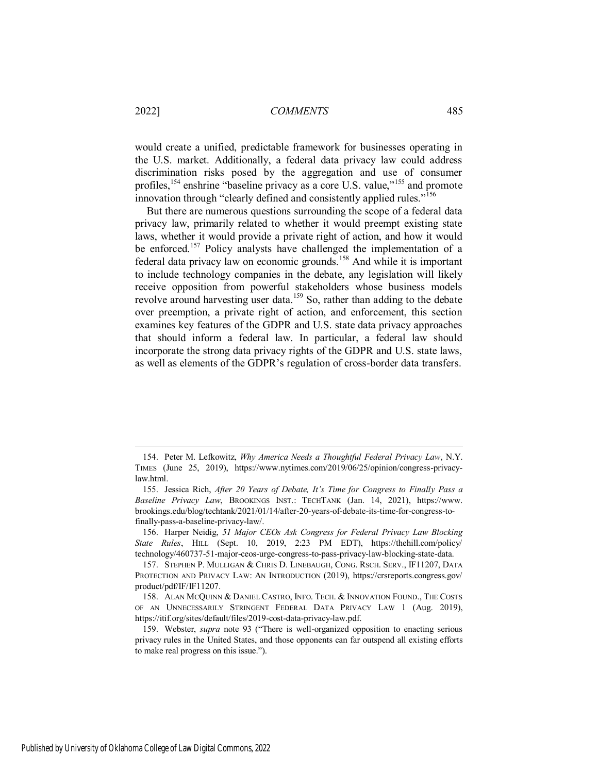would create a unified, predictable framework for businesses operating in the U.S. market. Additionally, a federal data privacy law could address discrimination risks posed by the aggregation and use of consumer profiles,<sup>154</sup> enshrine "baseline privacy as a core U.S. value,"<sup>155</sup> and promote innovation through "clearly defined and consistently applied rules."<sup>156</sup>

But there are numerous questions surrounding the scope of a federal data privacy law, primarily related to whether it would preempt existing state laws, whether it would provide a private right of action, and how it would be enforced.<sup>157</sup> Policy analysts have challenged the implementation of a federal data privacy law on economic grounds.<sup>158</sup> And while it is important to include technology companies in the debate, any legislation will likely receive opposition from powerful stakeholders whose business models revolve around harvesting user data.<sup>159</sup> So, rather than adding to the debate over preemption, a private right of action, and enforcement, this section examines key features of the GDPR and U.S. state data privacy approaches that should inform a federal law. In particular, a federal law should incorporate the strong data privacy rights of the GDPR and U.S. state laws, as well as elements of the GDPR's regulation of cross-border data transfers.

<span id="page-23-0"></span><sup>154.</sup> Peter M. Lefkowitz, *Why America Needs a Thoughtful Federal Privacy Law*, N.Y. TIMES (June 25, 2019), https://www.nytimes.com/2019/06/25/opinion/congress-privacylaw.html.

<sup>155.</sup> Jessica Rich, *After 20 Years of Debate, It's Time for Congress to Finally Pass a Baseline Privacy Law*, BROOKINGS INST.: TECHTANK (Jan. 14, 2021), https://www. brookings.edu/blog/techtank/2021/01/14/after-20-years-of-debate-its-time-for-congress-tofinally-pass-a-baseline-privacy-law/.

<sup>156.</sup> Harper Neidig, *51 Major CEOs Ask Congress for Federal Privacy Law Blocking State Rules*, HILL (Sept. 10, 2019, 2:23 PM EDT), https://thehill.com/policy/ technology/460737-51-major-ceos-urge-congress-to-pass-privacy-law-blocking-state-data.

<sup>157.</sup> STEPHEN P. MULLIGAN & CHRIS D. LINEBAUGH, CONG. RSCH. SERV., IF11207, DATA PROTECTION AND PRIVACY LAW: AN INTRODUCTION (2019), https://crsreports.congress.gov/ product/pdf/IF/IF11207.

<sup>158.</sup> ALAN MCQUINN & DANIEL CASTRO, INFO. TECH. & INNOVATION FOUND., THE COSTS OF AN UNNECESSARILY STRINGENT FEDERAL DATA PRIVACY LAW 1 (Aug. 2019), https://itif.org/sites/default/files/2019-cost-data-privacy-law.pdf.

<sup>159.</sup> Webster, *supra* note 93 ("There is well-organized opposition to enacting serious privacy rules in the United States, and those opponents can far outspend all existing efforts to make real progress on this issue.").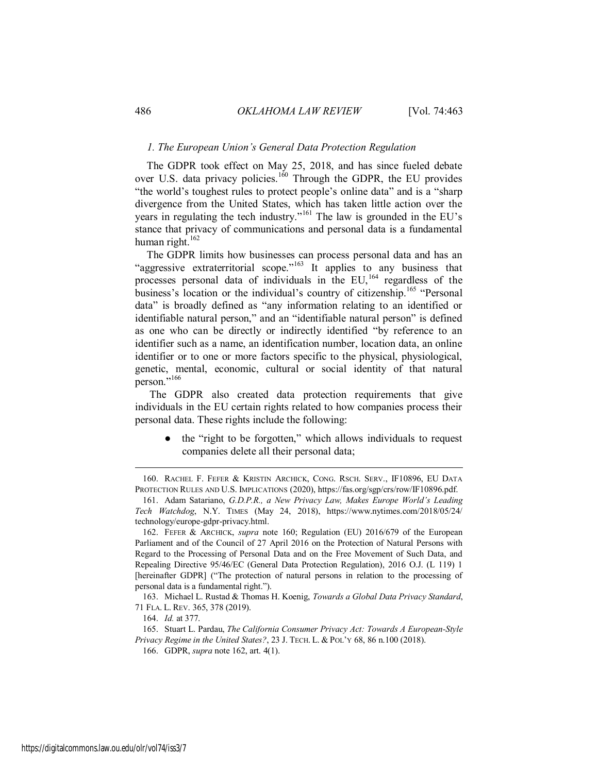## *1. The European Union's General Data Protection Regulation*

The GDPR took effect on May 25, 2018, and has since fueled debate over U.S. data privacy policies.<sup>160</sup> Through the GDPR, the EU provides "the world's toughest rules to protect people's online data" and is a "sharp divergence from the United States, which has taken little action over the years in regulating the tech industry."<sup>161</sup> The law is grounded in the EU's stance that privacy of communications and personal data is a fundamental human right.<sup>162</sup>

The GDPR limits how businesses can process personal data and has an "aggressive extraterritorial scope."<sup>163</sup> It applies to any business that processes personal data of individuals in the  $EU$ ,  $^{164}$  regardless of the business's location or the individual's country of citizenship.<sup>165</sup> "Personal data" is broadly defined as "any information relating to an identified or identifiable natural person," and an "identifiable natural person" is defined as one who can be directly or indirectly identified "by reference to an identifier such as a name, an identification number, location data, an online identifier or to one or more factors specific to the physical, physiological, genetic, mental, economic, cultural or social identity of that natural person."<sup>166</sup>

 The GDPR also created data protection requirements that give individuals in the EU certain rights related to how companies process their personal data. These rights include the following:

the "right to be forgotten," which allows individuals to request companies delete all their personal data;

163. Michael L. Rustad & Thomas H. Koenig, *Towards a Global Data Privacy Standard*, 71 FLA. L. REV. 365, 378 (2019).

<sup>160.</sup> RACHEL F. FEFER & KRISTIN ARCHICK, CONG. RSCH. SERV., IF10896, EU DATA PROTECTION RULES AND U.S. IMPLICATIONS (2020), https://fas.org/sgp/crs/row/IF10896.pdf.

<sup>161.</sup> Adam Satariano, *G.D.P.R., a New Privacy Law, Makes Europe World's Leading Tech Watchdog*, N.Y. TIMES (May 24, 2018), https://www.nytimes.com/2018/05/24/ technology/europe-gdpr-privacy.html.

<sup>162.</sup> FEFER & ARCHICK, *supra* note 160; Regulation (EU) 2016/679 of the European Parliament and of the Council of 27 April 2016 on the Protection of Natural Persons with Regard to the Processing of Personal Data and on the Free Movement of Such Data, and Repealing Directive 95/46/EC (General Data Protection Regulation), 2016 O.J. (L 119) 1 [hereinafter GDPR] ("The protection of natural persons in relation to the processing of personal data is a fundamental right.").

<sup>164.</sup> *Id.* at 377.

<sup>165.</sup> Stuart L. Pardau, *The California Consumer Privacy Act: Towards A European-Style Privacy Regime in the United States?*, 23 J. TECH. L. & POL'Y 68, 86 n.100 (2018).

<sup>166.</sup> GDPR, *supra* note 162, art. 4(1).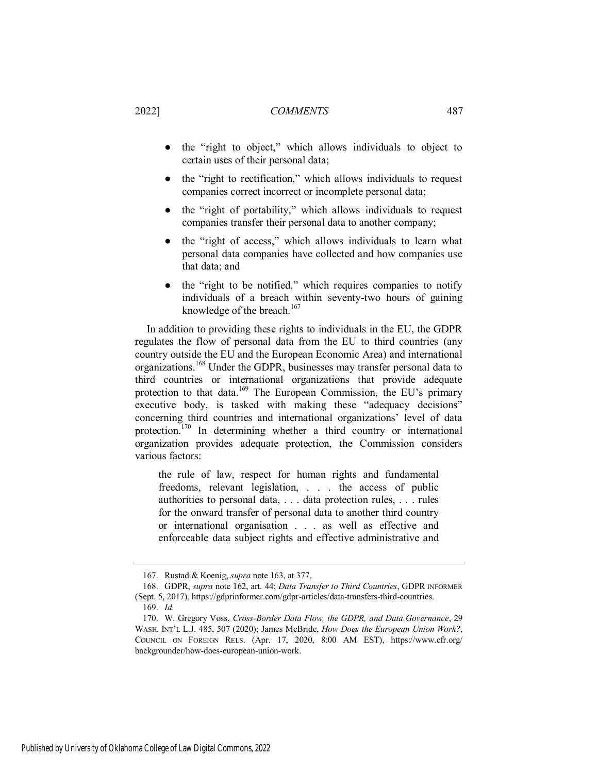- the "right to object," which allows individuals to object to certain uses of their personal data;
- the "right to rectification," which allows individuals to request companies correct incorrect or incomplete personal data;
- the "right of portability," which allows individuals to request companies transfer their personal data to another company;
- the "right of access," which allows individuals to learn what personal data companies have collected and how companies use that data; and
- the "right to be notified," which requires companies to notify individuals of a breach within seventy-two hours of gaining knowledge of the breach. $167$

In addition to providing these rights to individuals in the EU, the GDPR regulates the flow of personal data from the EU to third countries (any country outside the EU and the European Economic Area) and international organizations.<sup>168</sup> Under the GDPR, businesses may transfer personal data to third countries or international organizations that provide adequate protection to that data.<sup>169</sup> The European Commission, the EU's primary executive body, is tasked with making these "adequacy decisions" concerning third countries and international organizations' level of data protection.<sup>170</sup> In determining whether a third country or international organization provides adequate protection, the Commission considers various factors:

the rule of law, respect for human rights and fundamental freedoms, relevant legislation, . . . the access of public authorities to personal data, . . . data protection rules, . . . rules for the onward transfer of personal data to another third country or international organisation . . . as well as effective and enforceable data subject rights and effective administrative and

<sup>167.</sup> Rustad & Koenig, *supra* note 163, at 377.

<sup>168.</sup> GDPR, *supra* note 162, art. 44; *Data Transfer to Third Countries*, GDPR INFORMER (Sept. 5, 2017), https://gdprinformer.com/gdpr-articles/data-transfers-third-countries. 169. *Id.*

<sup>170.</sup> W. Gregory Voss, *Cross-Border Data Flow, the GDPR, and Data Governance*, 29 WASH. INT'L L.J. 485, 507 (2020); James McBride, *How Does the European Union Work?*, COUNCIL ON FOREIGN RELS. (Apr. 17, 2020, 8:00 AM EST), https://www.cfr.org/ backgrounder/how-does-european-union-work.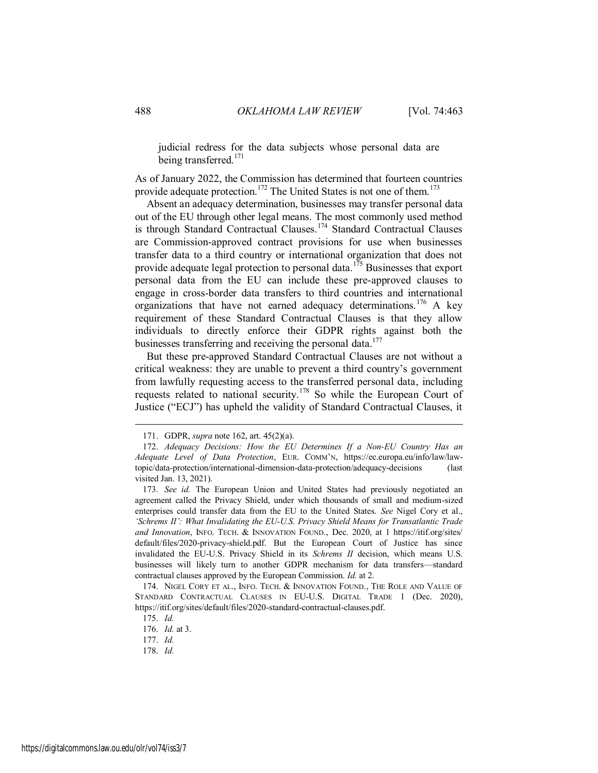judicial redress for the data subjects whose personal data are being transferred.<sup>171</sup>

As of January 2022, the Commission has determined that fourteen countries provide adequate protection.<sup>172</sup> The United States is not one of them.<sup>173</sup>

Absent an adequacy determination, businesses may transfer personal data out of the EU through other legal means. The most commonly used method is through Standard Contractual Clauses.<sup>174</sup> Standard Contractual Clauses are Commission-approved contract provisions for use when businesses transfer data to a third country or international organization that does not provide adequate legal protection to personal data.<sup>175</sup> Businesses that export personal data from the EU can include these pre-approved clauses to engage in cross-border data transfers to third countries and international organizations that have not earned adequacy determinations.<sup>176</sup> A key requirement of these Standard Contractual Clauses is that they allow individuals to directly enforce their GDPR rights against both the businesses transferring and receiving the personal data.<sup>177</sup>

But these pre-approved Standard Contractual Clauses are not without a critical weakness: they are unable to prevent a third country's government from lawfully requesting access to the transferred personal data, including requests related to national security.<sup>178</sup> So while the European Court of Justice ("ECJ") has upheld the validity of Standard Contractual Clauses, it

<sup>171.</sup> GDPR, *supra* note 162, art. 45(2)(a).

<sup>172.</sup> *Adequacy Decisions: How the EU Determines If a Non-EU Country Has an Adequate Level of Data Protection*, EUR. COMM'N, https://ec.europa.eu/info/law/lawtopic/data-protection/international-dimension-data-protection/adequacy-decisions (last visited Jan. 13, 2021).

<sup>173.</sup> *See id.* The European Union and United States had previously negotiated an agreement called the Privacy Shield, under which thousands of small and medium-sized enterprises could transfer data from the EU to the United States. *See* Nigel Cory et al., *'Schrems II': What Invalidating the EU-U.S. Privacy Shield Means for Transatlantic Trade and Innovation*, INFO. TECH. & INNOVATION FOUND., Dec. 2020, at 1 https://itif.org/sites/ default/files/2020-privacy-shield.pdf. But the European Court of Justice has since invalidated the EU-U.S. Privacy Shield in its *Schrems II* decision, which means U.S. businesses will likely turn to another GDPR mechanism for data transfers—standard contractual clauses approved by the European Commission. *Id.* at 2.

<sup>174.</sup> NIGEL CORY ET AL., INFO. TECH. & INNOVATION FOUND., THE ROLE AND VALUE OF STANDARD CONTRACTUAL CLAUSES IN EU-U.S. DIGITAL TRADE 1 (Dec. 2020), https://itif.org/sites/default/files/2020-standard-contractual-clauses.pdf.

<sup>175.</sup> *Id.* 

<sup>176.</sup> *Id.* at 3.

<sup>177.</sup> *Id.* 

<sup>178.</sup> *Id.*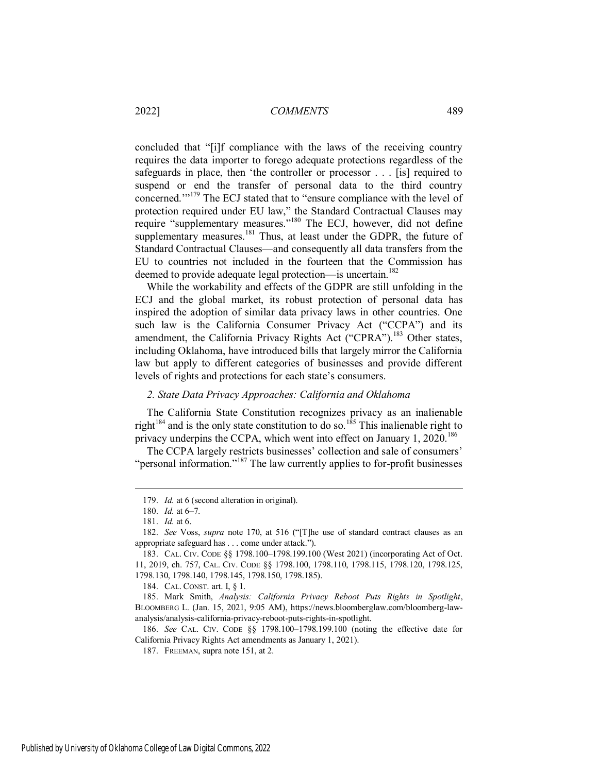concluded that "[i]f compliance with the laws of the receiving country requires the data importer to forego adequate protections regardless of the safeguards in place, then 'the controller or processor . . . [is] required to suspend or end the transfer of personal data to the third country concerned.'"<sup>179</sup> The ECJ stated that to "ensure compliance with the level of protection required under EU law," the Standard Contractual Clauses may require "supplementary measures."<sup>180</sup> The ECJ, however, did not define supplementary measures.<sup>181</sup> Thus, at least under the GDPR, the future of Standard Contractual Clauses—and consequently all data transfers from the EU to countries not included in the fourteen that the Commission has deemed to provide adequate legal protection—is uncertain.<sup>182</sup>

While the workability and effects of the GDPR are still unfolding in the ECJ and the global market, its robust protection of personal data has inspired the adoption of similar data privacy laws in other countries. One such law is the California Consumer Privacy Act ("CCPA") and its amendment, the California Privacy Rights Act ("CPRA").<sup>183</sup> Other states, including Oklahoma, have introduced bills that largely mirror the California law but apply to different categories of businesses and provide different levels of rights and protections for each state's consumers.

## <span id="page-27-0"></span>*2. State Data Privacy Approaches: California and Oklahoma*

The California State Constitution recognizes privacy as an inalienable right<sup>184</sup> and is the only state constitution to do so.<sup>185</sup> This inalienable right to privacy underpins the CCPA, which went into effect on January 1, 2020.<sup>186</sup>

The CCPA largely restricts businesses' collection and sale of consumers' "personal information."<sup>187</sup> The law currently applies to for-profit businesses

 $\overline{a}$ 

186. *See* CAL. CIV. CODE §§ 1798.100–1798.199.100 (noting the effective date for California Privacy Rights Act amendments as January 1, 2021).

<sup>179.</sup> *Id.* at 6 (second alteration in original).

<sup>180.</sup> *Id.* at 6–7.

<sup>181.</sup> *Id.* at 6.

<sup>182.</sup> *See* Voss, *supra* note 170, at 516 ("[T]he use of standard contract clauses as an appropriate safeguard has . . . come under attack.").

<sup>183.</sup> CAL. CIV. CODE §§ 1798.100–1798.199.100 (West 2021) (incorporating Act of Oct. 11, 2019, ch. 757, CAL. CIV. CODE §§ 1798.100, 1798.110, 1798.115, 1798.120, 1798.125, 1798.130, 1798.140, 1798.145, 1798.150, 1798.185).

<sup>184.</sup> CAL. CONST. art. I, § 1.

<sup>185.</sup> Mark Smith, *Analysis: California Privacy Reboot Puts Rights in Spotlight*, BLOOMBERG L. (Jan. 15, 2021, 9:05 AM), https://news.bloomberglaw.com/bloomberg-lawanalysis/analysis-california-privacy-reboot-puts-rights-in-spotlight.

<sup>187.</sup> FREEMAN, supra note 151, at 2.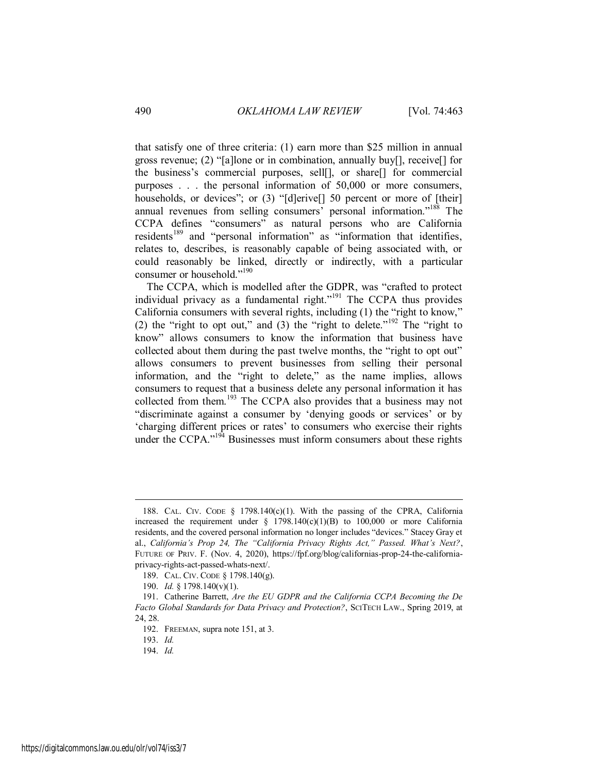that satisfy one of three criteria: (1) earn more than \$25 million in annual gross revenue; (2) "[a]lone or in combination, annually buy[], receive[] for the business's commercial purposes, sell[], or share[] for commercial purposes . . . the personal information of 50,000 or more consumers, households, or devices"; or (3) "[d]erive[] 50 percent or more of [their] annual revenues from selling consumers' personal information."<sup>188</sup> The CCPA defines "consumers" as natural persons who are California residents<sup>189</sup> and "personal information" as "information that identifies, relates to, describes, is reasonably capable of being associated with, or could reasonably be linked, directly or indirectly, with a particular consumer or household."<sup>190</sup>

The CCPA, which is modelled after the GDPR, was "crafted to protect individual privacy as a fundamental right."<sup>191</sup> The CCPA thus provides California consumers with several rights, including (1) the "right to know," (2) the "right to opt out," and (3) the "right to delete."<sup>192</sup> The "right to know" allows consumers to know the information that business have collected about them during the past twelve months, the "right to opt out" allows consumers to prevent businesses from selling their personal information, and the "right to delete," as the name implies, allows consumers to request that a business delete any personal information it has collected from them.<sup>193</sup> The CCPA also provides that a business may not "discriminate against a consumer by 'denying goods or services' or by 'charging different prices or rates' to consumers who exercise their rights under the CCPA." $194$  Businesses must inform consumers about these rights

<sup>188.</sup> CAL. CIV. CODE § 1798.140(c)(1). With the passing of the CPRA, California increased the requirement under  $\S$  1798.140(c)(1)(B) to 100,000 or more California residents, and the covered personal information no longer includes "devices." Stacey Gray et al., *California's Prop 24, The "California Privacy Rights Act," Passed. What's Next?*, FUTURE OF PRIV. F. (Nov. 4, 2020), https://fpf.org/blog/californias-prop-24-the-californiaprivacy-rights-act-passed-whats-next/.

<sup>189.</sup> CAL. CIV. CODE § 1798.140(g).

<sup>190.</sup> *Id.* § 1798.140(v)(1).

<sup>191.</sup> Catherine Barrett, *Are the EU GDPR and the California CCPA Becoming the De Facto Global Standards for Data Privacy and Protection?*, SCITECH LAW., Spring 2019, at 24, 28.

<sup>192.</sup> FREEMAN, supra note 151, at 3.

<sup>193.</sup> *Id.*

<sup>194.</sup> *Id.*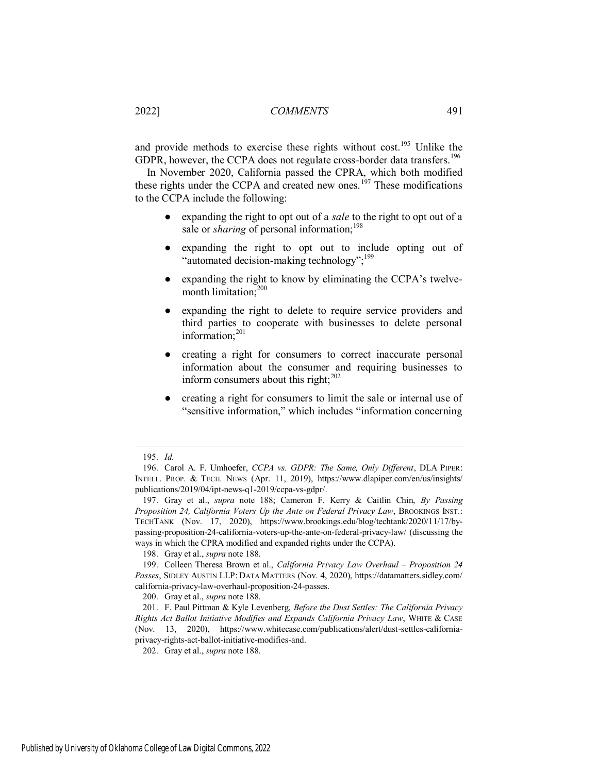and provide methods to exercise these rights without cost.<sup>195</sup> Unlike the GDPR, however, the CCPA does not regulate cross-border data transfers.<sup>196</sup>

In November 2020, California passed the CPRA, which both modified these rights under the CCPA and created new ones.<sup>197</sup> These modifications to the CCPA include the following:

- expanding the right to opt out of a *sale* to the right to opt out of a sale or *sharing* of personal information;<sup>198</sup>
- expanding the right to opt out to include opting out of "automated decision-making technology";<sup>199</sup>
- expanding the right to know by eliminating the CCPA's twelvemonth limitation;<sup>200</sup>
- expanding the right to delete to require service providers and third parties to cooperate with businesses to delete personal information:<sup>201</sup>
- creating a right for consumers to correct inaccurate personal information about the consumer and requiring businesses to inform consumers about this right; $^{202}$
- creating a right for consumers to limit the sale or internal use of "sensitive information," which includes "information concerning

<sup>195.</sup> *Id.* 

<sup>196.</sup> Carol A. F. Umhoefer, *CCPA vs. GDPR: The Same, Only Different*, DLA PIPER: INTELL. PROP. & TECH. NEWS (Apr. 11, 2019), https://www.dlapiper.com/en/us/insights/ publications/2019/04/ipt-news-q1-2019/ccpa-vs-gdpr/.

<sup>197.</sup> Gray et al., *supra* note 188; Cameron F. Kerry & Caitlin Chin, *By Passing Proposition 24, California Voters Up the Ante on Federal Privacy Law*, BROOKINGS INST.: TECHTANK (Nov. 17, 2020), https://www.brookings.edu/blog/techtank/2020/11/17/bypassing-proposition-24-california-voters-up-the-ante-on-federal-privacy-law/ (discussing the ways in which the CPRA modified and expanded rights under the CCPA).

<sup>198.</sup> Gray et al., *supra* note 188.

<sup>199.</sup> Colleen Theresa Brown et al., *California Privacy Law Overhaul - Proposition 24 Passes*, SIDLEY AUSTIN LLP: DATA MATTERS (Nov. 4, 2020), https://datamatters.sidley.com/ california-privacy-law-overhaul-proposition-24-passes.

<sup>200.</sup> Gray et al., *supra* note 188.

<sup>201.</sup> F. Paul Pittman & Kyle Levenberg, *Before the Dust Settles: The California Privacy Rights Act Ballot Initiative Modifies and Expands California Privacy Law*, WHITE & CASE (Nov. 13, 2020), https://www.whitecase.com/publications/alert/dust-settles-californiaprivacy-rights-act-ballot-initiative-modifies-and.

<sup>202.</sup> Gray et al., *supra* note 188.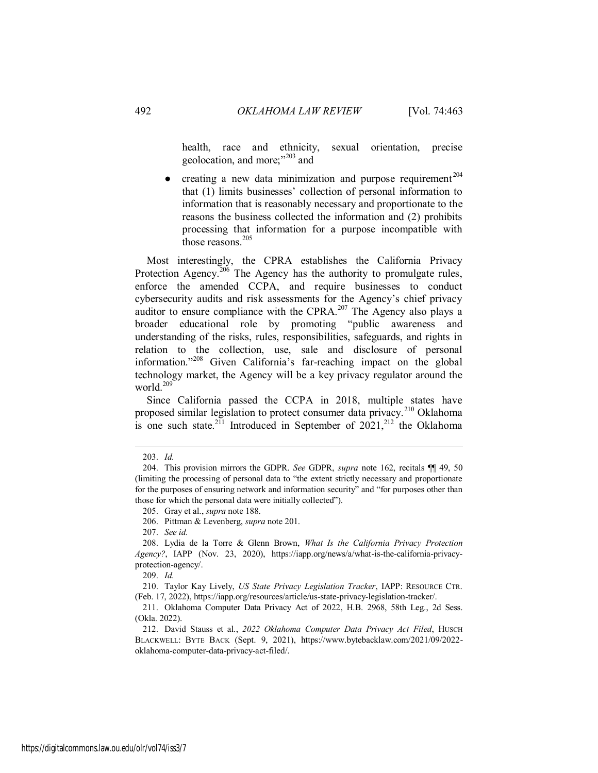health, race and ethnicity, sexual orientation, precise geolocation, and more;"<sup>203</sup> and

 $\bullet$  creating a new data minimization and purpose requirement<sup>204</sup> that (1) limits businesses' collection of personal information to information that is reasonably necessary and proportionate to the reasons the business collected the information and (2) prohibits processing that information for a purpose incompatible with those reasons.<sup>205</sup>

Most interestingly, the CPRA establishes the California Privacy Protection Agency.<sup>206</sup> The Agency has the authority to promulgate rules, enforce the amended CCPA, and require businesses to conduct cybersecurity audits and risk assessments for the Agency's chief privacy auditor to ensure compliance with the CPRA.<sup>207</sup> The Agency also plays a broader educational role by promoting "public awareness and understanding of the risks, rules, responsibilities, safeguards, and rights in relation to the collection, use, sale and disclosure of personal information."<sup>208</sup> Given California's far-reaching impact on the global technology market, the Agency will be a key privacy regulator around the world. $209$ 

Since California passed the CCPA in 2018, multiple states have proposed similar legislation to protect consumer data privacy.<sup>210</sup> Oklahoma is one such state.<sup>211</sup> Introduced in September of  $2021$ ,<sup>212</sup> the Oklahoma

 $\overline{a}$ 

209. *Id.*

<sup>203.</sup> *Id.* 

<sup>204.</sup> This provision mirrors the GDPR. *See* GDPR, *supra* note 162, recitals ¶¶ 49, 50 (limiting the processing of personal data to "the extent strictly necessary and proportionate for the purposes of ensuring network and information security" and "for purposes other than those for which the personal data were initially collected").

<sup>205.</sup> Gray et al., *supra* note 188.

<sup>206.</sup> Pittman & Levenberg, *supra* note 201.

<sup>207.</sup> *See id.*

<sup>208.</sup> Lydia de la Torre & Glenn Brown, *What Is the California Privacy Protection Agency?*, IAPP (Nov. 23, 2020), https://iapp.org/news/a/what-is-the-california-privacyprotection-agency/.

<sup>210.</sup> Taylor Kay Lively, *US State Privacy Legislation Tracker*, IAPP: RESOURCE CTR. (Feb. 17, 2022), https://iapp.org/resources/article/us-state-privacy-legislation-tracker/.

<sup>211.</sup> Oklahoma Computer Data Privacy Act of 2022, H.B. 2968, 58th Leg., 2d Sess. (Okla. 2022).

<sup>212.</sup> David Stauss et al., *2022 Oklahoma Computer Data Privacy Act Filed*, HUSCH BLACKWELL: BYTE BACK (Sept. 9, 2021), https://www.bytebacklaw.com/2021/09/2022 oklahoma-computer-data-privacy-act-filed/.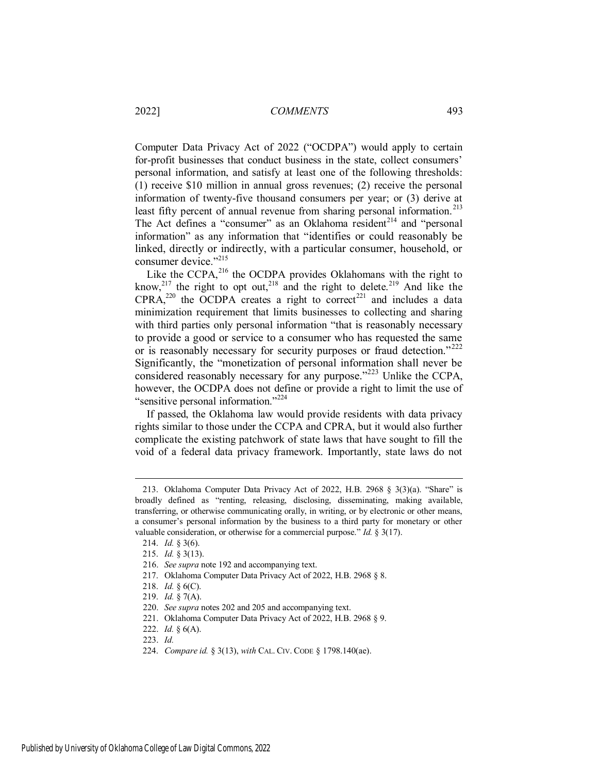Computer Data Privacy Act of 2022 ("OCDPA") would apply to certain for-profit businesses that conduct business in the state, collect consumers' personal information, and satisfy at least one of the following thresholds: (1) receive \$10 million in annual gross revenues; (2) receive the personal information of twenty-five thousand consumers per year; or (3) derive at least fifty percent of annual revenue from sharing personal information.<sup>213</sup> The Act defines a "consumer" as an Oklahoma resident<sup>214</sup> and "personal information" as any information that "identifies or could reasonably be linked, directly or indirectly, with a particular consumer, household, or consumer device."<sup>215</sup>

Like the CCPA, $^{216}$  the OCDPA provides Oklahomans with the right to know,<sup>217</sup> the right to opt out,<sup>218</sup> and the right to delete.<sup>219</sup> And like the  $CPRA$ ,<sup>220</sup> the OCDPA creates a right to correct<sup>221</sup> and includes a data minimization requirement that limits businesses to collecting and sharing with third parties only personal information "that is reasonably necessary to provide a good or service to a consumer who has requested the same or is reasonably necessary for security purposes or fraud detection."<sup>222</sup> Significantly, the "monetization of personal information shall never be considered reasonably necessary for any purpose."<sup>223</sup> Unlike the CCPA, however, the OCDPA does not define or provide a right to limit the use of "sensitive personal information."<sup>224</sup>

If passed, the Oklahoma law would provide residents with data privacy rights similar to those under the CCPA and CPRA, but it would also further complicate the existing patchwork of state laws that have sought to fill the void of a federal data privacy framework. Importantly, state laws do not

<sup>213.</sup> Oklahoma Computer Data Privacy Act of 2022, H.B. 2968 § 3(3)(a). "Share" is broadly defined as "renting, releasing, disclosing, disseminating, making available, transferring, or otherwise communicating orally, in writing, or by electronic or other means, a consumer's personal information by the business to a third party for monetary or other valuable consideration, or otherwise for a commercial purpose." *Id.* § 3(17).

<sup>214.</sup> *Id.* § 3(6).

<sup>215.</sup> *Id.* § 3(13).

<sup>216.</sup> *See supra* note 192 and accompanying text.

<sup>217.</sup> Oklahoma Computer Data Privacy Act of 2022, H.B. 2968 § 8.

<sup>218.</sup> *Id.* § 6(C).

<sup>219.</sup> *Id.* § 7(A).

<sup>220.</sup> *See supra* notes 202 and 205 and accompanying text.

<sup>221.</sup> Oklahoma Computer Data Privacy Act of 2022, H.B. 2968 § 9.

<sup>222.</sup> *Id.* § 6(A).

<sup>223.</sup> *Id.*

<sup>224.</sup> *Compare id.* § 3(13), *with* CAL. CIV. CODE § 1798.140(ae).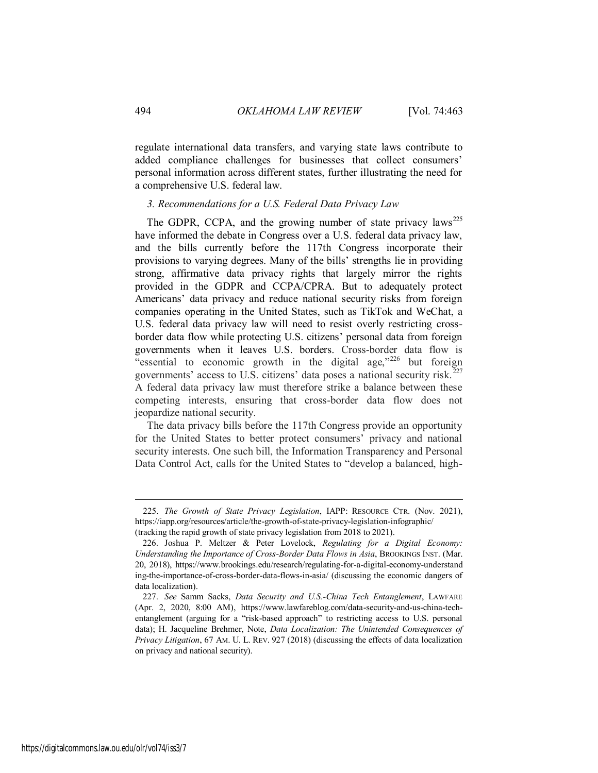regulate international data transfers, and varying state laws contribute to added compliance challenges for businesses that collect consumers' personal information across different states, further illustrating the need for a comprehensive U.S. federal law.

## <span id="page-32-0"></span>*3. Recommendations for a U.S. Federal Data Privacy Law*

The GDPR, CCPA, and the growing number of state privacy laws<sup>225</sup> have informed the debate in Congress over a U.S. federal data privacy law, and the bills currently before the 117th Congress incorporate their provisions to varying degrees. Many of the bills' strengths lie in providing strong, affirmative data privacy rights that largely mirror the rights provided in the GDPR and CCPA/CPRA. But to adequately protect Americans' data privacy and reduce national security risks from foreign companies operating in the United States, such as TikTok and WeChat, a U.S. federal data privacy law will need to resist overly restricting crossborder data flow while protecting U.S. citizens' personal data from foreign governments when it leaves U.S. borders. Cross-border data flow is "essential to economic growth in the digital age,"<sup>226</sup> but foreign governments' access to U.S. citizens' data poses a national security risk.<sup>227</sup> A federal data privacy law must therefore strike a balance between these competing interests, ensuring that cross-border data flow does not jeopardize national security.

The data privacy bills before the 117th Congress provide an opportunity for the United States to better protect consumers' privacy and national security interests. One such bill, the Information Transparency and Personal Data Control Act, calls for the United States to "develop a balanced, high-

<sup>225.</sup> *The Growth of State Privacy Legislation*, IAPP: RESOURCE CTR. (Nov. 2021), https://iapp.org/resources/article/the-growth-of-state-privacy-legislation-infographic/ (tracking the rapid growth of state privacy legislation from 2018 to 2021).

<sup>226.</sup> Joshua P. Meltzer & Peter Lovelock, *Regulating for a Digital Economy: Understanding the Importance of Cross-Border Data Flows in Asia*, BROOKINGS INST. (Mar. 20, 2018), https://www.brookings.edu/research/regulating-for-a-digital-economy-understand ing-the-importance-of-cross-border-data-flows-in-asia/ (discussing the economic dangers of data localization).

<sup>227.</sup> *See* Samm Sacks, *Data Security and U.S.-China Tech Entanglement*, LAWFARE (Apr. 2, 2020, 8:00 AM), https://www.lawfareblog.com/data-security-and-us-china-techentanglement (arguing for a "risk-based approach" to restricting access to U.S. personal data); H. Jacqueline Brehmer, Note, *Data Localization: The Unintended Consequences of Privacy Litigation*, 67 AM. U. L. REV. 927 (2018) (discussing the effects of data localization on privacy and national security).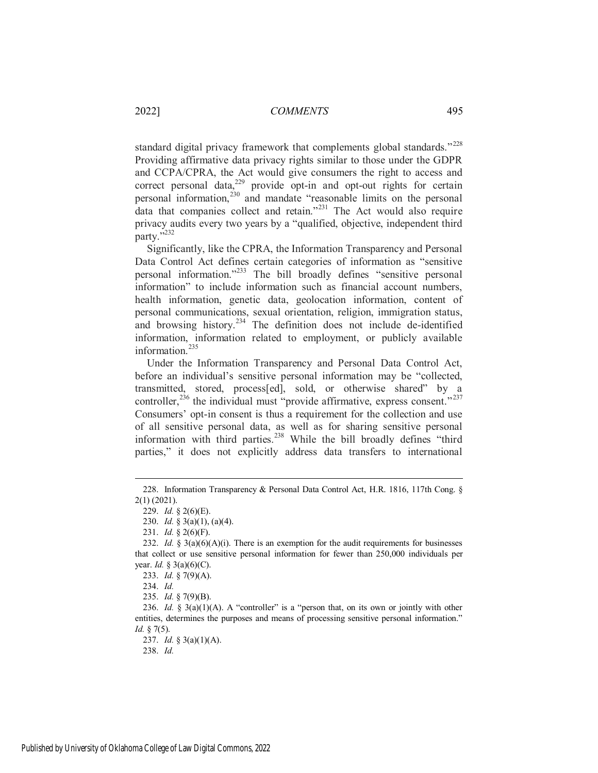standard digital privacy framework that complements global standards."<sup>228</sup> Providing affirmative data privacy rights similar to those under the GDPR and CCPA/CPRA, the Act would give consumers the right to access and correct personal data, $229$  provide opt-in and opt-out rights for certain personal information,<sup>230</sup> and mandate "reasonable limits on the personal data that companies collect and retain."<sup>231</sup> The Act would also require privacy audits every two years by a "qualified, objective, independent third party."<sup>232</sup>

Significantly, like the CPRA, the Information Transparency and Personal Data Control Act defines certain categories of information as "sensitive personal information."<sup>233</sup> The bill broadly defines "sensitive personal information" to include information such as financial account numbers, health information, genetic data, geolocation information, content of personal communications, sexual orientation, religion, immigration status, and browsing history.<sup>234</sup> The definition does not include de-identified information, information related to employment, or publicly available information.<sup>235</sup>

Under the Information Transparency and Personal Data Control Act, before an individual's sensitive personal information may be "collected, transmitted, stored, process[ed], sold, or otherwise shared" by a controller,<sup>236</sup> the individual must "provide affirmative, express consent."<sup>237</sup> Consumers' opt-in consent is thus a requirement for the collection and use of all sensitive personal data, as well as for sharing sensitive personal information with third parties.<sup>238</sup> While the bill broadly defines "third parties," it does not explicitly address data transfers to international

<sup>228.</sup> Information Transparency & Personal Data Control Act, H.R. 1816, 117th Cong. § 2(1) (2021).

<sup>229.</sup> *Id.* § 2(6)(E).

<sup>230.</sup> *Id.* § 3(a)(1), (a)(4).

<sup>231.</sup> *Id.* § 2(6)(F).

<sup>232.</sup> *Id.* § 3(a)(6)(A)(i). There is an exemption for the audit requirements for businesses that collect or use sensitive personal information for fewer than 250,000 individuals per year. *Id.* § 3(a)(6)(C).

<sup>233.</sup> *Id.* § 7(9)(A).

<sup>234.</sup> *Id.*

<sup>235.</sup> *Id.* § 7(9)(B).

<sup>236.</sup> *Id.* § 3(a)(1)(A). A "controller" is a "person that, on its own or jointly with other entities, determines the purposes and means of processing sensitive personal information." *Id.* § 7(5).

<sup>237.</sup> *Id.* § 3(a)(1)(A).

<sup>238.</sup> *Id.*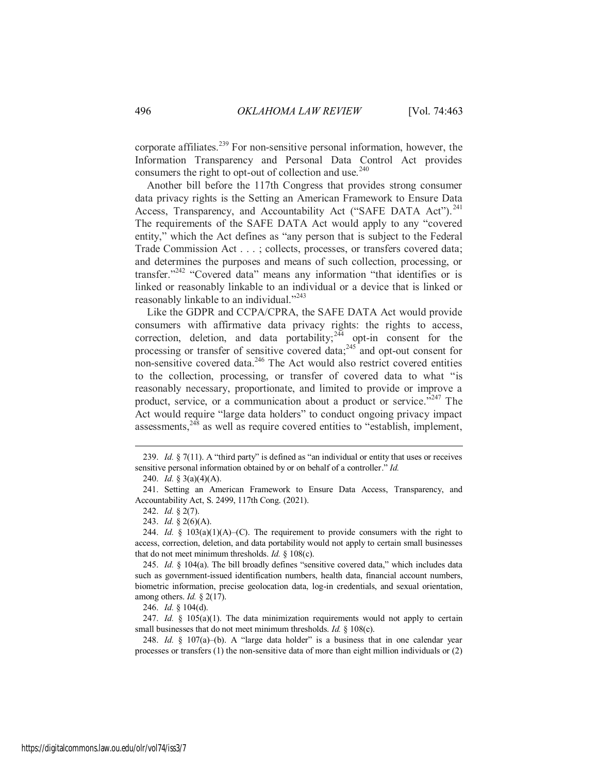corporate affiliates.<sup>239</sup> For non-sensitive personal information, however, the Information Transparency and Personal Data Control Act provides consumers the right to opt-out of collection and use. $240$ 

Another bill before the 117th Congress that provides strong consumer data privacy rights is the Setting an American Framework to Ensure Data Access, Transparency, and Accountability Act ("SAFE DATA Act").<sup>241</sup> The requirements of the SAFE DATA Act would apply to any "covered entity," which the Act defines as "any person that is subject to the Federal Trade Commission Act . . . ; collects, processes, or transfers covered data; and determines the purposes and means of such collection, processing, or transfer."<sup>242</sup> "Covered data" means any information "that identifies or is linked or reasonably linkable to an individual or a device that is linked or reasonably linkable to an individual."<sup>243</sup>

Like the GDPR and CCPA/CPRA, the SAFE DATA Act would provide consumers with affirmative data privacy rights: the rights to access, correction, deletion, and data portability;  $244$  opt-in consent for the processing or transfer of sensitive covered data;<sup>245</sup> and opt-out consent for non-sensitive covered data.<sup>246</sup> The Act would also restrict covered entities to the collection, processing, or transfer of covered data to what "is reasonably necessary, proportionate, and limited to provide or improve a product, service, or a communication about a product or service."<sup>247</sup> The Act would require "large data holders" to conduct ongoing privacy impact assessments,<sup>248</sup> as well as require covered entities to "establish, implement,

 $\overline{a}$ 

246. *Id.* § 104(d).

247. *Id.* § 105(a)(1). The data minimization requirements would not apply to certain small businesses that do not meet minimum thresholds. *Id.* § 108(c).

248. *Id.* § 107(a)–(b). A "large data holder" is a business that in one calendar year processes or transfers (1) the non-sensitive data of more than eight million individuals or (2)

<sup>239.</sup> *Id.* § 7(11). A "third party" is defined as "an individual or entity that uses or receives sensitive personal information obtained by or on behalf of a controller." *Id.*

<sup>240.</sup> *Id.* § 3(a)(4)(A).

<sup>241.</sup> Setting an American Framework to Ensure Data Access, Transparency, and Accountability Act, S. 2499, 117th Cong. (2021).

<sup>242.</sup> *Id.* § 2(7).

<sup>243.</sup> *Id.* § 2(6)(A).

<sup>244.</sup> *Id.*  $\S$  103(a)(1)(A)–(C). The requirement to provide consumers with the right to access, correction, deletion, and data portability would not apply to certain small businesses that do not meet minimum thresholds. *Id.* § 108(c).

<sup>245.</sup> *Id.* § 104(a). The bill broadly defines "sensitive covered data," which includes data such as government-issued identification numbers, health data, financial account numbers, biometric information, precise geolocation data, log-in credentials, and sexual orientation, among others. *Id.* § 2(17).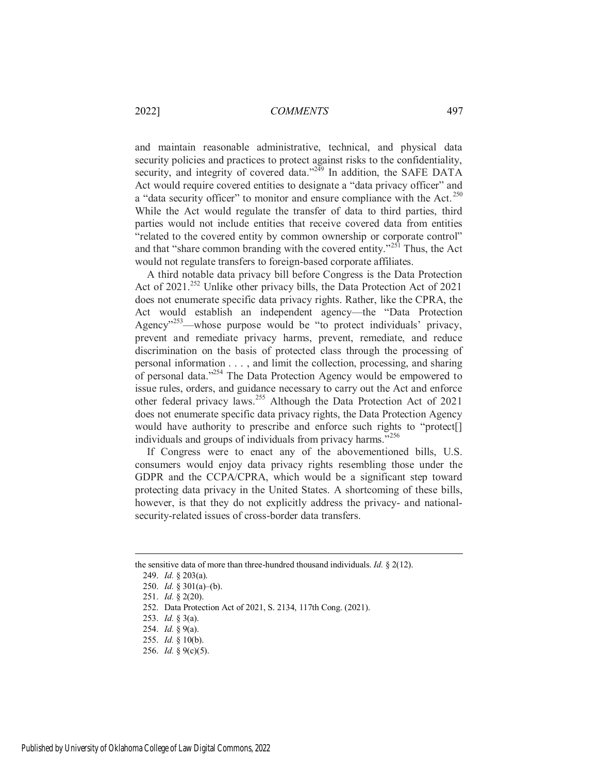and maintain reasonable administrative, technical, and physical data security policies and practices to protect against risks to the confidentiality, security, and integrity of covered data."<sup>249</sup> In addition, the SAFE DATA Act would require covered entities to designate a "data privacy officer" and a "data security officer" to monitor and ensure compliance with the Act.<sup>250</sup> While the Act would regulate the transfer of data to third parties, third parties would not include entities that receive covered data from entities "related to the covered entity by common ownership or corporate control" and that "share common branding with the covered entity."<sup>251</sup> Thus, the Act would not regulate transfers to foreign-based corporate affiliates.

A third notable data privacy bill before Congress is the Data Protection Act of 2021.<sup>252</sup> Unlike other privacy bills, the Data Protection Act of 2021 does not enumerate specific data privacy rights. Rather, like the CPRA, the Act would establish an independent agency—the "Data Protection Agency"<sup>253</sup>—whose purpose would be "to protect individuals' privacy, prevent and remediate privacy harms, prevent, remediate, and reduce discrimination on the basis of protected class through the processing of personal information . . . , and limit the collection, processing, and sharing of personal data."<sup>254</sup> The Data Protection Agency would be empowered to issue rules, orders, and guidance necessary to carry out the Act and enforce other federal privacy laws.<sup>255</sup> Although the Data Protection Act of 2021 does not enumerate specific data privacy rights, the Data Protection Agency would have authority to prescribe and enforce such rights to "protect[] individuals and groups of individuals from privacy harms."<sup>256</sup>

If Congress were to enact any of the abovementioned bills, U.S. consumers would enjoy data privacy rights resembling those under the GDPR and the CCPA/CPRA, which would be a significant step toward protecting data privacy in the United States. A shortcoming of these bills, however, is that they do not explicitly address the privacy- and nationalsecurity-related issues of cross-border data transfers.

the sensitive data of more than three-hundred thousand individuals. *Id.* § 2(12).

<sup>249.</sup> *Id.* § 203(a).

<sup>250.</sup> *Id.* § 301(a)–(b).

<sup>251.</sup> *Id.* § 2(20).

<sup>252.</sup> Data Protection Act of 2021, S. 2134, 117th Cong. (2021).

<sup>253.</sup> *Id.* § 3(a).

<sup>254.</sup> *Id.* § 9(a).

<sup>255.</sup> *Id.* § 10(b).

<sup>256.</sup> *Id.* § 9(c)(5).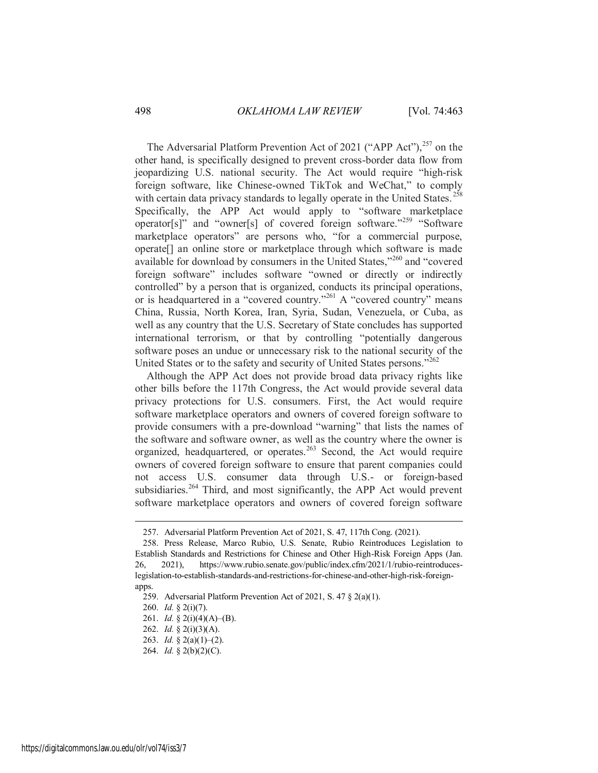The Adversarial Platform Prevention Act of 2021 ("APP Act"), $^{257}$  on the other hand, is specifically designed to prevent cross-border data flow from jeopardizing U.S. national security. The Act would require "high-risk foreign software, like Chinese-owned TikTok and WeChat," to comply with certain data privacy standards to legally operate in the United States.<sup>258</sup> Specifically, the APP Act would apply to "software marketplace operator[s]" and "owner[s] of covered foreign software."<sup>259</sup> "Software marketplace operators" are persons who, "for a commercial purpose, operate[] an online store or marketplace through which software is made available for download by consumers in the United States,"<sup>260</sup> and "covered foreign software" includes software "owned or directly or indirectly controlled" by a person that is organized, conducts its principal operations, or is headquartered in a "covered country."<sup>261</sup> A "covered country" means China, Russia, North Korea, Iran, Syria, Sudan, Venezuela, or Cuba, as well as any country that the U.S. Secretary of State concludes has supported international terrorism, or that by controlling "potentially dangerous software poses an undue or unnecessary risk to the national security of the United States or to the safety and security of United States persons."<sup>262</sup>

Although the APP Act does not provide broad data privacy rights like other bills before the 117th Congress, the Act would provide several data privacy protections for U.S. consumers. First, the Act would require software marketplace operators and owners of covered foreign software to provide consumers with a pre-download "warning" that lists the names of the software and software owner, as well as the country where the owner is organized, headquartered, or operates.<sup>263</sup> Second, the Act would require owners of covered foreign software to ensure that parent companies could not access U.S. consumer data through U.S.- or foreign-based subsidiaries.<sup>264</sup> Third, and most significantly, the APP Act would prevent software marketplace operators and owners of covered foreign software

<sup>257.</sup> Adversarial Platform Prevention Act of 2021, S. 47, 117th Cong. (2021).

<sup>258.</sup> Press Release, Marco Rubio, U.S. Senate, Rubio Reintroduces Legislation to Establish Standards and Restrictions for Chinese and Other High-Risk Foreign Apps (Jan. 26, 2021), https://www.rubio.senate.gov/public/index.cfm/2021/1/rubio-reintroduceslegislation-to-establish-standards-and-restrictions-for-chinese-and-other-high-risk-foreignapps.

<sup>259.</sup> Adversarial Platform Prevention Act of 2021, S. 47 § 2(a)(1).

<sup>260.</sup> *Id.* § 2(i)(7).

<sup>261.</sup> *Id.* § 2(i)(4)(A)–(B).

<sup>262.</sup> *Id.* § 2(i)(3)(A).

<sup>263.</sup> *Id.* § 2(a)(1)–(2).

<sup>264.</sup> *Id.* § 2(b)(2)(C).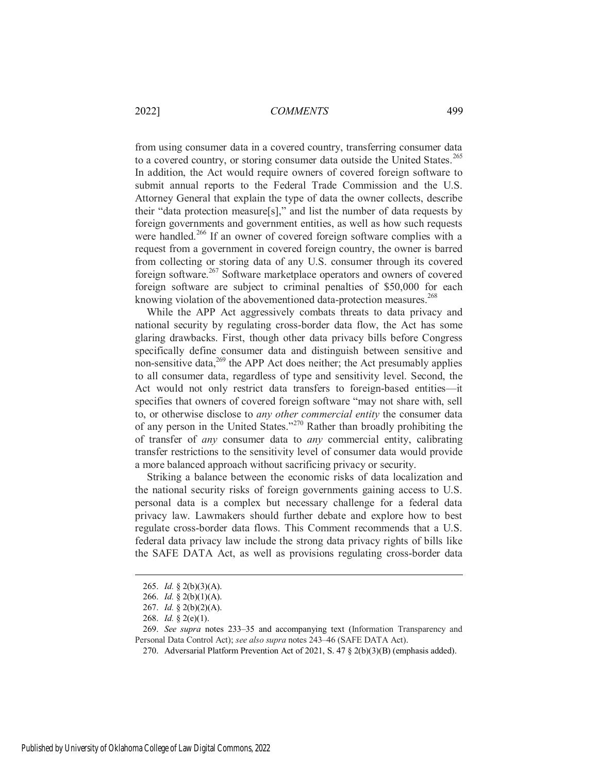from using consumer data in a covered country, transferring consumer data to a covered country, or storing consumer data outside the United States.<sup>265</sup> In addition, the Act would require owners of covered foreign software to submit annual reports to the Federal Trade Commission and the U.S. Attorney General that explain the type of data the owner collects, describe their "data protection measure[s]," and list the number of data requests by foreign governments and government entities, as well as how such requests were handled.<sup>266</sup> If an owner of covered foreign software complies with a request from a government in covered foreign country, the owner is barred from collecting or storing data of any U.S. consumer through its covered foreign software.<sup>267</sup> Software marketplace operators and owners of covered foreign software are subject to criminal penalties of \$50,000 for each knowing violation of the abovementioned data-protection measures.<sup>268</sup>

While the APP Act aggressively combats threats to data privacy and national security by regulating cross-border data flow, the Act has some glaring drawbacks. First, though other data privacy bills before Congress specifically define consumer data and distinguish between sensitive and non-sensitive data, $269$  the APP Act does neither; the Act presumably applies to all consumer data, regardless of type and sensitivity level. Second, the Act would not only restrict data transfers to foreign-based entities—it specifies that owners of covered foreign software "may not share with, sell to, or otherwise disclose to *any other commercial entity* the consumer data of any person in the United States."<sup>270</sup> Rather than broadly prohibiting the of transfer of *any* consumer data to *any* commercial entity, calibrating transfer restrictions to the sensitivity level of consumer data would provide a more balanced approach without sacrificing privacy or security.

Striking a balance between the economic risks of data localization and the national security risks of foreign governments gaining access to U.S. personal data is a complex but necessary challenge for a federal data privacy law. Lawmakers should further debate and explore how to best regulate cross-border data flows. This Comment recommends that a U.S. federal data privacy law include the strong data privacy rights of bills like the SAFE DATA Act, as well as provisions regulating cross-border data

<sup>265.</sup> *Id.* § 2(b)(3)(A).

<sup>266.</sup> *Id.* § 2(b)(1)(A).

<sup>267.</sup> *Id.* § 2(b)(2)(A).

<sup>268.</sup> *Id.* § 2(e)(1).

<sup>269.</sup> *See supra* notes 233–35 and accompanying text (Information Transparency and Personal Data Control Act); *see also supra* notes 243–46 (SAFE DATA Act).

<sup>270.</sup> Adversarial Platform Prevention Act of 2021, S. 47 § 2(b)(3)(B) (emphasis added).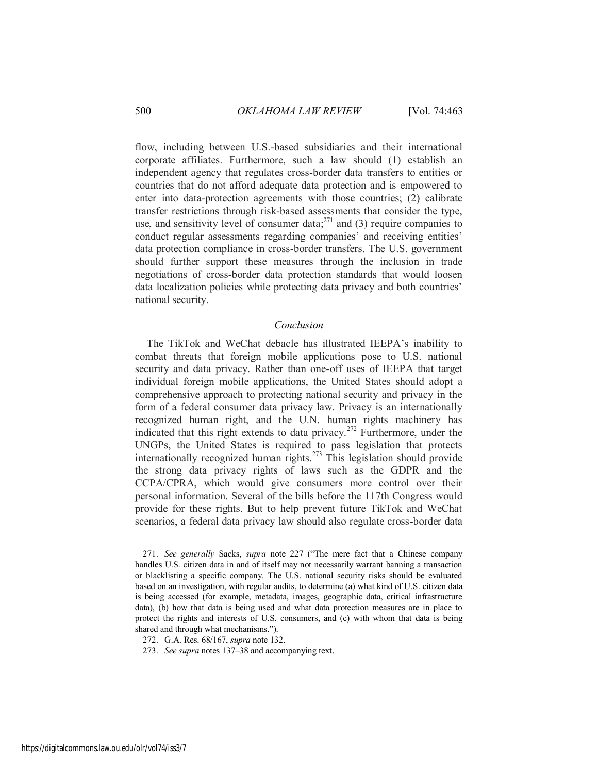flow, including between U.S.-based subsidiaries and their international corporate affiliates. Furthermore, such a law should (1) establish an independent agency that regulates cross-border data transfers to entities or countries that do not afford adequate data protection and is empowered to enter into data-protection agreements with those countries; (2) calibrate transfer restrictions through risk-based assessments that consider the type, use, and sensitivity level of consumer data;  $271$  and (3) require companies to conduct regular assessments regarding companies' and receiving entities' data protection compliance in cross-border transfers. The U.S. government should further support these measures through the inclusion in trade negotiations of cross-border data protection standards that would loosen data localization policies while protecting data privacy and both countries' national security.

## <span id="page-38-0"></span>*Conclusion*

The TikTok and WeChat debacle has illustrated IEEPA's inability to combat threats that foreign mobile applications pose to U.S. national security and data privacy. Rather than one-off uses of IEEPA that target individual foreign mobile applications, the United States should adopt a comprehensive approach to protecting national security and privacy in the form of a federal consumer data privacy law. Privacy is an internationally recognized human right, and the U.N. human rights machinery has indicated that this right extends to data privacy.<sup>272</sup> Furthermore, under the UNGPs, the United States is required to pass legislation that protects internationally recognized human rights.<sup>273</sup> This legislation should provide the strong data privacy rights of laws such as the GDPR and the CCPA/CPRA, which would give consumers more control over their personal information. Several of the bills before the 117th Congress would provide for these rights. But to help prevent future TikTok and WeChat scenarios, a federal data privacy law should also regulate cross-border data

<sup>271.</sup> *See generally* Sacks, *supra* note 227 ("The mere fact that a Chinese company handles U.S. citizen data in and of itself may not necessarily warrant banning a transaction or blacklisting a specific company. The U.S. national security risks should be evaluated based on an investigation, with regular audits, to determine (a) what kind of U.S. citizen data is being accessed (for example, metadata, images, geographic data, critical infrastructure data), (b) how that data is being used and what data protection measures are in place to protect the rights and interests of U.S. consumers, and (c) with whom that data is being shared and through what mechanisms.").

<sup>272.</sup> G.A. Res. 68/167, *supra* note 132.

<sup>273.</sup> *See supra* notes 137–38 and accompanying text.